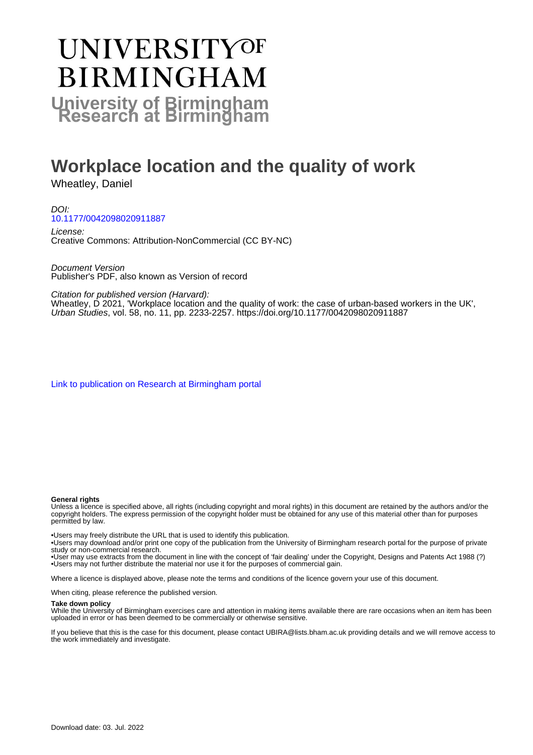# **UNIVERSITYOF BIRMINGHAM University of Birmingham**

# **Workplace location and the quality of work**

Wheatley, Daniel

DOI: [10.1177/0042098020911887](https://doi.org/10.1177/0042098020911887)

License: Creative Commons: Attribution-NonCommercial (CC BY-NC)

Document Version Publisher's PDF, also known as Version of record

Citation for published version (Harvard):

Wheatley, D 2021, 'Workplace location and the quality of work: the case of urban-based workers in the UK', Urban Studies, vol. 58, no. 11, pp. 2233-2257.<https://doi.org/10.1177/0042098020911887>

[Link to publication on Research at Birmingham portal](https://birmingham.elsevierpure.com/en/publications/2b1b7bb2-0205-4b9f-880b-c03a1e9285a6)

#### **General rights**

Unless a licence is specified above, all rights (including copyright and moral rights) in this document are retained by the authors and/or the copyright holders. The express permission of the copyright holder must be obtained for any use of this material other than for purposes permitted by law.

• Users may freely distribute the URL that is used to identify this publication.

• Users may download and/or print one copy of the publication from the University of Birmingham research portal for the purpose of private study or non-commercial research.

• User may use extracts from the document in line with the concept of 'fair dealing' under the Copyright, Designs and Patents Act 1988 (?) • Users may not further distribute the material nor use it for the purposes of commercial gain.

Where a licence is displayed above, please note the terms and conditions of the licence govern your use of this document.

When citing, please reference the published version.

#### **Take down policy**

While the University of Birmingham exercises care and attention in making items available there are rare occasions when an item has been uploaded in error or has been deemed to be commercially or otherwise sensitive.

If you believe that this is the case for this document, please contact UBIRA@lists.bham.ac.uk providing details and we will remove access to the work immediately and investigate.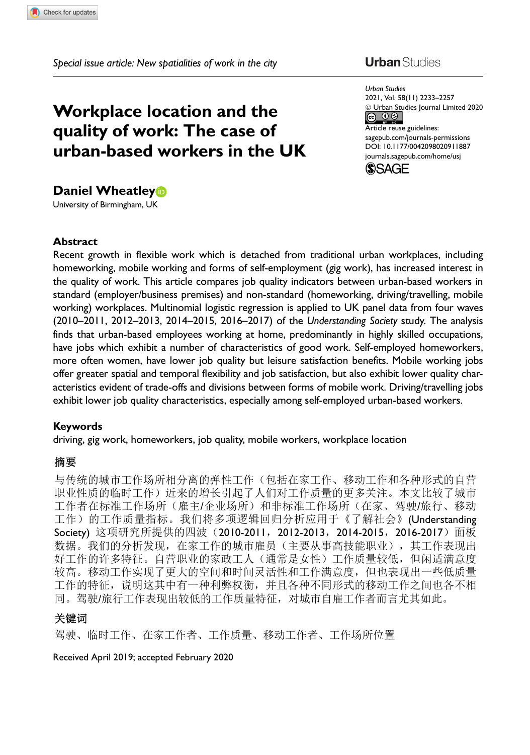Special issue article: New spatialities of work in the city

## Workplace location and the quality of work: The case of urban-based workers in the UK

## Daniel Wheatley<sup>D</sup>

University of Birmingham, UK

#### **Abstract**

Recent growth in flexible work which is detached from traditional urban workplaces, including homeworking, mobile working and forms of self-employment (gig work), has increased interest in the quality of work. This article compares job quality indicators between urban-based workers in standard (employer/business premises) and non-standard (homeworking, driving/travelling, mobile working) workplaces. Multinomial logistic regression is applied to UK panel data from four waves  $(2010-2011, 2012-2013, 2014-2015, 2016-2017)$  of the Understanding Society study. The analysis finds that urban-based employees working at home, predominantly in highly skilled occupations, have jobs which exhibit a number of characteristics of good work. Self-employed homeworkers, more often women, have lower job quality but leisure satisfaction benefits. Mobile working jobs offer greater spatial and temporal flexibility and job satisfaction, but also exhibit lower quality characteristics evident of trade-offs and divisions between forms of mobile work. Driving/travelling jobs exhibit lower job quality characteristics, especially among self-employed urban-based workers.

#### Keywords

driving, gig work, homeworkers, job quality, mobile workers, workplace location

#### 摘要

与传统的城市工作场所相分离的弹性工作(包括在家工作、移动工作和各种形式的自营 职业性质的临时工作〉近来的增长引起了人们对工作质量的更多关注。本文比较了城市 工作者在标准工作场所(雇主/企业场所)和非标准工作场所(在家、驾驶/旅行、移动 工作)的工作质量指标。我们将多项逻辑回归分析应用于《了解社会》(Understanding Society) 这项研究所提供的四波(2010-2011,2012-2013,2014-2015,2016-2017)面板 数据。我们的分析发现, 在家工作的城市雇员(主要从事高技能职业), 其工作表现出 好工作的许多特征。自营职业的家政工人(通常是女性)工作质量较低,但闲适满意度 较高。移动工作实现了更大的空间和时间灵活性和工作满意度,但也表现出一些低质量 工作的特征,说明这其中有一种利弊权衡,并且各种不同形式的移动工作之间也各不相 同。驾驶/旅行工作表现出较低的工作质量特征, 对城市自雇工作者而言尤其如此。

#### 关键词

驾驶、临时工作、在家工作者、工作质量、移动工作者、工作场所位置

Received April 2019; accepted February 2020

## **Urban** Studies

Urban Studies 2021, Vol. 58(11) 2233–2257 - Urban Studies Journal Limited 2020 <u>@ 0 \$ </u> Article reuse guidelines: [sagepub.com/journals-permissions](https://uk.sagepub.com/en-gb/journals-permissions) [DOI: 10.1177/0042098020911887](https://doi.org/10.1177/0042098020911887) <journals.sagepub.com/home/usj>

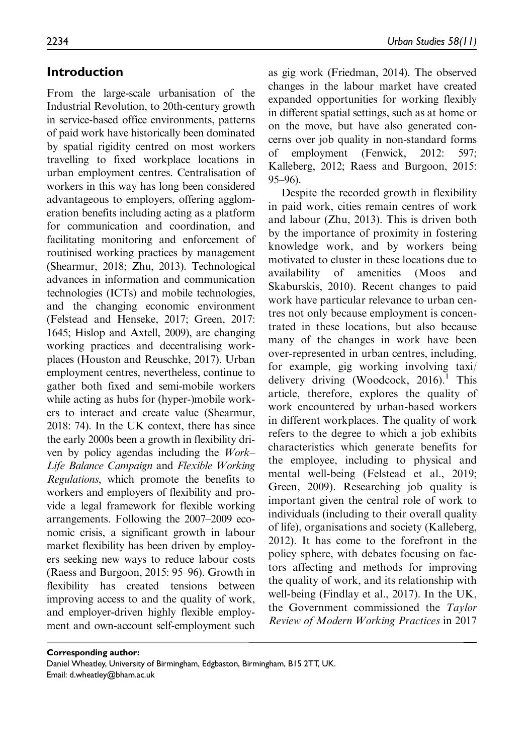## Introduction

From the large-scale urbanisation of the Industrial Revolution, to 20th-century growth in service-based office environments, patterns of paid work have historically been dominated by spatial rigidity centred on most workers travelling to fixed workplace locations in urban employment centres. Centralisation of workers in this way has long been considered advantageous to employers, offering agglomeration benefits including acting as a platform for communication and coordination, and facilitating monitoring and enforcement of routinised working practices by management (Shearmur, 2018; Zhu, 2013). Technological advances in information and communication technologies (ICTs) and mobile technologies, and the changing economic environment (Felstead and Henseke, 2017; Green, 2017: 1645; Hislop and Axtell, 2009), are changing working practices and decentralising workplaces (Houston and Reuschke, 2017). Urban employment centres, nevertheless, continue to gather both fixed and semi-mobile workers while acting as hubs for (hyper-)mobile workers to interact and create value (Shearmur, 2018: 74). In the UK context, there has since the early 2000s been a growth in flexibility driven by policy agendas including the Work– Life Balance Campaign and Flexible Working Regulations, which promote the benefits to workers and employers of flexibility and provide a legal framework for flexible working arrangements. Following the 2007–2009 economic crisis, a significant growth in labour market flexibility has been driven by employers seeking new ways to reduce labour costs (Raess and Burgoon, 2015: 95–96). Growth in flexibility has created tensions between improving access to and the quality of work, and employer-driven highly flexible employment and own-account self-employment such

as gig work (Friedman, 2014). The observed changes in the labour market have created expanded opportunities for working flexibly in different spatial settings, such as at home or on the move, but have also generated concerns over job quality in non-standard forms of employment (Fenwick, 2012: 597; Kalleberg, 2012; Raess and Burgoon, 2015: 95–96).

Despite the recorded growth in flexibility in paid work, cities remain centres of work and labour (Zhu, 2013). This is driven both by the importance of proximity in fostering knowledge work, and by workers being motivated to cluster in these locations due to availability of amenities (Moos and Skaburskis, 2010). Recent changes to paid work have particular relevance to urban centres not only because employment is concentrated in these locations, but also because many of the changes in work have been over-represented in urban centres, including, for example, gig working involving taxi/ delivery driving (Woodcock,  $2016$ ).<sup>1</sup> This article, therefore, explores the quality of work encountered by urban-based workers in different workplaces. The quality of work refers to the degree to which a job exhibits characteristics which generate benefits for the employee, including to physical and mental well-being (Felstead et al., 2019; Green, 2009). Researching job quality is important given the central role of work to individuals (including to their overall quality of life), organisations and society (Kalleberg, 2012). It has come to the forefront in the policy sphere, with debates focusing on factors affecting and methods for improving the quality of work, and its relationship with well-being (Findlay et al., 2017). In the UK, the Government commissioned the Taylor Review of Modern Working Practices in 2017

Corresponding author: Daniel Wheatley, University of Birmingham, Edgbaston, Birmingham, B15 2TT, UK.

Email: d.wheatley@bham.ac.uk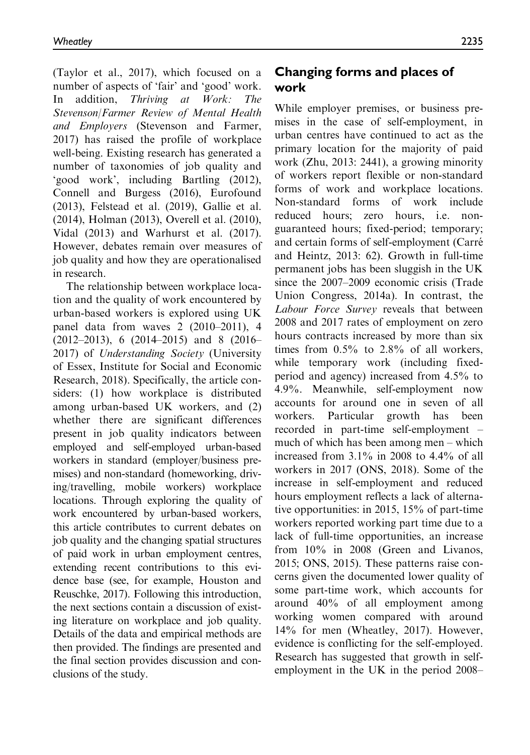(Taylor et al., 2017), which focused on a number of aspects of 'fair' and 'good' work. In addition, Thriving at Work: The Stevenson/Farmer Review of Mental Health and Employers (Stevenson and Farmer, 2017) has raised the profile of workplace well-being. Existing research has generated a number of taxonomies of job quality and 'good work', including Bartling (2012), Connell and Burgess (2016), Eurofound (2013), Felstead et al. (2019), Gallie et al. (2014), Holman (2013), Overell et al. (2010), Vidal (2013) and Warhurst et al. (2017). However, debates remain over measures of job quality and how they are operationalised in research.

The relationship between workplace location and the quality of work encountered by urban-based workers is explored using UK panel data from waves 2 (2010–2011), 4 (2012–2013), 6 (2014–2015) and 8 (2016– 2017) of Understanding Society (University of Essex, Institute for Social and Economic Research, 2018). Specifically, the article considers: (1) how workplace is distributed among urban-based UK workers, and (2) whether there are significant differences present in job quality indicators between employed and self-employed urban-based workers in standard (employer/business premises) and non-standard (homeworking, driving/travelling, mobile workers) workplace locations. Through exploring the quality of work encountered by urban-based workers, this article contributes to current debates on job quality and the changing spatial structures of paid work in urban employment centres, extending recent contributions to this evidence base (see, for example, Houston and Reuschke, 2017). Following this introduction, the next sections contain a discussion of existing literature on workplace and job quality. Details of the data and empirical methods are then provided. The findings are presented and the final section provides discussion and conclusions of the study.

## Changing forms and places of work

While employer premises, or business premises in the case of self-employment, in urban centres have continued to act as the primary location for the majority of paid work (Zhu, 2013: 2441), a growing minority of workers report flexible or non-standard forms of work and workplace locations. Non-standard forms of work include reduced hours; zero hours, i.e. nonguaranteed hours; fixed-period; temporary; and certain forms of self-employment (Carre´ and Heintz, 2013: 62). Growth in full-time permanent jobs has been sluggish in the UK since the 2007–2009 economic crisis (Trade Union Congress, 2014a). In contrast, the Labour Force Survey reveals that between 2008 and 2017 rates of employment on zero hours contracts increased by more than six times from 0.5% to 2.8% of all workers, while temporary work (including fixedperiod and agency) increased from 4.5% to 4.9%. Meanwhile, self-employment now accounts for around one in seven of all workers. Particular growth has been recorded in part-time self-employment – much of which has been among men – which increased from 3.1% in 2008 to 4.4% of all workers in 2017 (ONS, 2018). Some of the increase in self-employment and reduced hours employment reflects a lack of alternative opportunities: in 2015, 15% of part-time workers reported working part time due to a lack of full-time opportunities, an increase from 10% in 2008 (Green and Livanos, 2015; ONS, 2015). These patterns raise concerns given the documented lower quality of some part-time work, which accounts for around 40% of all employment among working women compared with around 14% for men (Wheatley, 2017). However, evidence is conflicting for the self-employed. Research has suggested that growth in selfemployment in the UK in the period 2008–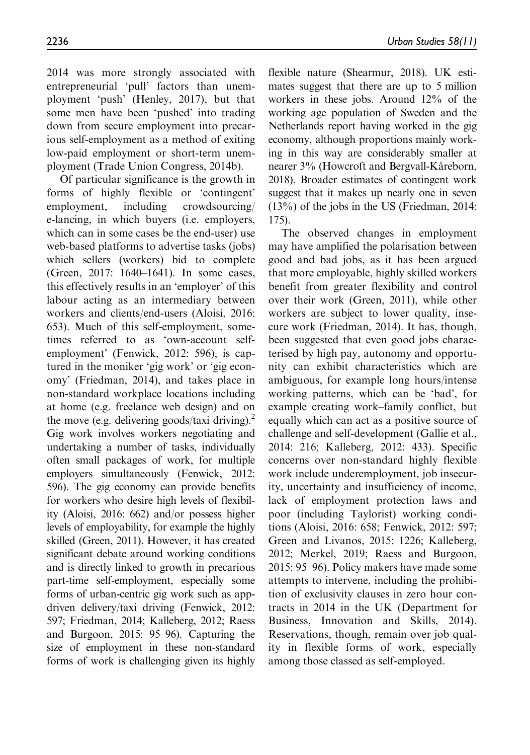2014 was more strongly associated with entrepreneurial 'pull' factors than unemployment 'push' (Henley, 2017), but that some men have been 'pushed' into trading down from secure employment into precarious self-employment as a method of exiting low-paid employment or short-term unemployment (Trade Union Congress, 2014b).

Of particular significance is the growth in forms of highly flexible or 'contingent' employment, including crowdsourcing/ e-lancing, in which buyers (i.e. employers, which can in some cases be the end-user) use web-based platforms to advertise tasks (jobs) which sellers (workers) bid to complete (Green, 2017: 1640–1641). In some cases, this effectively results in an 'employer' of this labour acting as an intermediary between workers and clients/end-users (Aloisi, 2016: 653). Much of this self-employment, sometimes referred to as 'own-account selfemployment' (Fenwick, 2012: 596), is captured in the moniker 'gig work' or 'gig economy' (Friedman, 2014), and takes place in non-standard workplace locations including at home (e.g. freelance web design) and on the move (e.g. delivering goods/taxi driving). $^{2}$ Gig work involves workers negotiating and undertaking a number of tasks, individually often small packages of work, for multiple employers simultaneously (Fenwick, 2012: 596). The gig economy can provide benefits for workers who desire high levels of flexibility (Aloisi, 2016: 662) and/or possess higher levels of employability, for example the highly skilled (Green, 2011). However, it has created significant debate around working conditions and is directly linked to growth in precarious part-time self-employment, especially some forms of urban-centric gig work such as appdriven delivery/taxi driving (Fenwick, 2012: 597; Friedman, 2014; Kalleberg, 2012; Raess and Burgoon, 2015: 95–96). Capturing the size of employment in these non-standard forms of work is challenging given its highly flexible nature (Shearmur, 2018). UK estimates suggest that there are up to 5 million workers in these jobs. Around 12% of the working age population of Sweden and the Netherlands report having worked in the gig economy, although proportions mainly working in this way are considerably smaller at nearer 3% (Howcroft and Bergvall-Kåreborn, 2018). Broader estimates of contingent work suggest that it makes up nearly one in seven (13%) of the jobs in the US (Friedman, 2014: 175).

The observed changes in employment may have amplified the polarisation between good and bad jobs, as it has been argued that more employable, highly skilled workers benefit from greater flexibility and control over their work (Green, 2011), while other workers are subject to lower quality, insecure work (Friedman, 2014). It has, though, been suggested that even good jobs characterised by high pay, autonomy and opportunity can exhibit characteristics which are ambiguous, for example long hours/intense working patterns, which can be 'bad', for example creating work–family conflict, but equally which can act as a positive source of challenge and self-development (Gallie et al., 2014: 216; Kalleberg, 2012: 433). Specific concerns over non-standard highly flexible work include underemployment, job insecurity, uncertainty and insufficiency of income, lack of employment protection laws and poor (including Taylorist) working conditions (Aloisi, 2016: 658; Fenwick, 2012: 597; Green and Livanos, 2015: 1226; Kalleberg, 2012; Merkel, 2019; Raess and Burgoon, 2015: 95–96). Policy makers have made some attempts to intervene, including the prohibition of exclusivity clauses in zero hour contracts in 2014 in the UK (Department for Business, Innovation and Skills, 2014). Reservations, though, remain over job quality in flexible forms of work, especially among those classed as self-employed.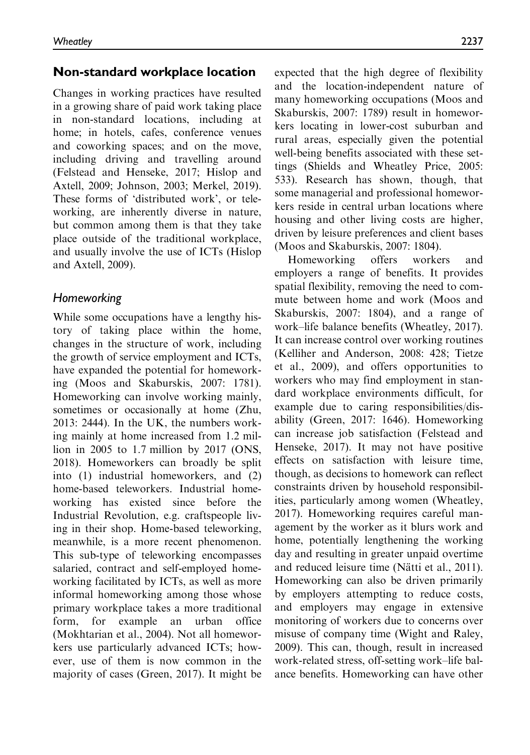#### Non-standard workplace location

Changes in working practices have resulted in a growing share of paid work taking place in non-standard locations, including at home; in hotels, cafes, conference venues and coworking spaces; and on the move, including driving and travelling around (Felstead and Henseke, 2017; Hislop and Axtell, 2009; Johnson, 2003; Merkel, 2019). These forms of 'distributed work', or teleworking, are inherently diverse in nature, but common among them is that they take place outside of the traditional workplace, and usually involve the use of ICTs (Hislop and Axtell, 2009).

#### Homeworking

While some occupations have a lengthy history of taking place within the home, changes in the structure of work, including the growth of service employment and ICTs, have expanded the potential for homeworking (Moos and Skaburskis, 2007: 1781). Homeworking can involve working mainly, sometimes or occasionally at home (Zhu, 2013: 2444). In the UK, the numbers working mainly at home increased from 1.2 million in 2005 to 1.7 million by 2017 (ONS, 2018). Homeworkers can broadly be split into (1) industrial homeworkers, and (2) home-based teleworkers. Industrial homeworking has existed since before the Industrial Revolution, e.g. craftspeople living in their shop. Home-based teleworking, meanwhile, is a more recent phenomenon. This sub-type of teleworking encompasses salaried, contract and self-employed homeworking facilitated by ICTs, as well as more informal homeworking among those whose primary workplace takes a more traditional form, for example an urban office (Mokhtarian et al., 2004). Not all homeworkers use particularly advanced ICTs; however, use of them is now common in the majority of cases (Green, 2017). It might be expected that the high degree of flexibility and the location-independent nature of many homeworking occupations (Moos and Skaburskis, 2007: 1789) result in homeworkers locating in lower-cost suburban and rural areas, especially given the potential well-being benefits associated with these settings (Shields and Wheatley Price, 2005: 533). Research has shown, though, that some managerial and professional homeworkers reside in central urban locations where housing and other living costs are higher, driven by leisure preferences and client bases (Moos and Skaburskis, 2007: 1804).

Homeworking offers workers and employers a range of benefits. It provides spatial flexibility, removing the need to commute between home and work (Moos and Skaburskis, 2007: 1804), and a range of work–life balance benefits (Wheatley, 2017). It can increase control over working routines (Kelliher and Anderson, 2008: 428; Tietze et al., 2009), and offers opportunities to workers who may find employment in standard workplace environments difficult, for example due to caring responsibilities/disability (Green, 2017: 1646). Homeworking can increase job satisfaction (Felstead and Henseke, 2017). It may not have positive effects on satisfaction with leisure time, though, as decisions to homework can reflect constraints driven by household responsibilities, particularly among women (Wheatley, 2017). Homeworking requires careful management by the worker as it blurs work and home, potentially lengthening the working day and resulting in greater unpaid overtime and reduced leisure time (Nätti et al., 2011). Homeworking can also be driven primarily by employers attempting to reduce costs, and employers may engage in extensive monitoring of workers due to concerns over misuse of company time (Wight and Raley, 2009). This can, though, result in increased work-related stress, off-setting work–life balance benefits. Homeworking can have other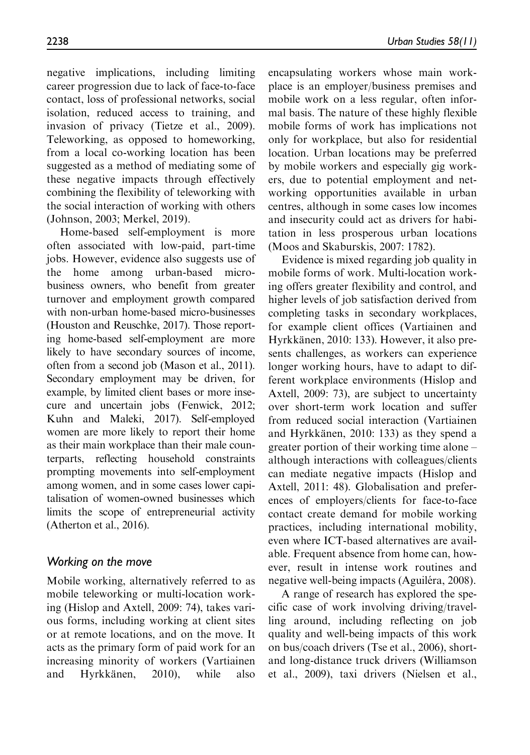negative implications, including limiting career progression due to lack of face-to-face contact, loss of professional networks, social isolation, reduced access to training, and invasion of privacy (Tietze et al., 2009). Teleworking, as opposed to homeworking, from a local co-working location has been suggested as a method of mediating some of these negative impacts through effectively combining the flexibility of teleworking with the social interaction of working with others (Johnson, 2003; Merkel, 2019).

Home-based self-employment is more often associated with low-paid, part-time jobs. However, evidence also suggests use of the home among urban-based microbusiness owners, who benefit from greater turnover and employment growth compared with non-urban home-based micro-businesses (Houston and Reuschke, 2017). Those reporting home-based self-employment are more likely to have secondary sources of income, often from a second job (Mason et al., 2011). Secondary employment may be driven, for example, by limited client bases or more insecure and uncertain jobs (Fenwick, 2012; Kuhn and Maleki, 2017). Self-employed women are more likely to report their home as their main workplace than their male counterparts, reflecting household constraints prompting movements into self-employment among women, and in some cases lower capitalisation of women-owned businesses which limits the scope of entrepreneurial activity (Atherton et al., 2016).

#### Working on the move

Mobile working, alternatively referred to as mobile teleworking or multi-location working (Hislop and Axtell, 2009: 74), takes various forms, including working at client sites or at remote locations, and on the move. It acts as the primary form of paid work for an increasing minority of workers (Vartiainen and Hyrkkänen, 2010), while also

encapsulating workers whose main workplace is an employer/business premises and mobile work on a less regular, often informal basis. The nature of these highly flexible mobile forms of work has implications not only for workplace, but also for residential location. Urban locations may be preferred by mobile workers and especially gig workers, due to potential employment and networking opportunities available in urban centres, although in some cases low incomes and insecurity could act as drivers for habitation in less prosperous urban locations (Moos and Skaburskis, 2007: 1782).

Evidence is mixed regarding job quality in mobile forms of work. Multi-location working offers greater flexibility and control, and higher levels of job satisfaction derived from completing tasks in secondary workplaces, for example client offices (Vartiainen and Hyrkkänen, 2010: 133). However, it also presents challenges, as workers can experience longer working hours, have to adapt to different workplace environments (Hislop and Axtell, 2009: 73), are subject to uncertainty over short-term work location and suffer from reduced social interaction (Vartiainen and Hyrkkänen, 2010: 133) as they spend a greater portion of their working time alone – although interactions with colleagues/clients can mediate negative impacts (Hislop and Axtell, 2011: 48). Globalisation and preferences of employers/clients for face-to-face contact create demand for mobile working practices, including international mobility, even where ICT-based alternatives are available. Frequent absence from home can, however, result in intense work routines and negative well-being impacts (Aguiléra, 2008).

A range of research has explored the specific case of work involving driving/travelling around, including reflecting on job quality and well-being impacts of this work on bus/coach drivers (Tse et al., 2006), shortand long-distance truck drivers (Williamson et al., 2009), taxi drivers (Nielsen et al.,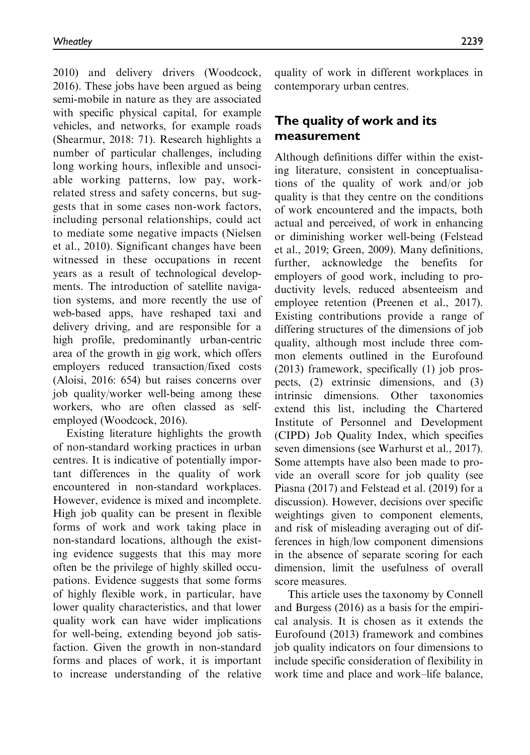2010) and delivery drivers (Woodcock, 2016). These jobs have been argued as being semi-mobile in nature as they are associated with specific physical capital, for example vehicles, and networks, for example roads (Shearmur, 2018: 71). Research highlights a number of particular challenges, including long working hours, inflexible and unsociable working patterns, low pay, workrelated stress and safety concerns, but suggests that in some cases non-work factors, including personal relationships, could act to mediate some negative impacts (Nielsen et al., 2010). Significant changes have been witnessed in these occupations in recent years as a result of technological developments. The introduction of satellite navigation systems, and more recently the use of web-based apps, have reshaped taxi and delivery driving, and are responsible for a high profile, predominantly urban-centric area of the growth in gig work, which offers employers reduced transaction/fixed costs (Aloisi, 2016: 654) but raises concerns over job quality/worker well-being among these workers, who are often classed as selfemployed (Woodcock, 2016).

Existing literature highlights the growth of non-standard working practices in urban centres. It is indicative of potentially important differences in the quality of work encountered in non-standard workplaces. However, evidence is mixed and incomplete. High job quality can be present in flexible forms of work and work taking place in non-standard locations, although the existing evidence suggests that this may more often be the privilege of highly skilled occupations. Evidence suggests that some forms of highly flexible work, in particular, have lower quality characteristics, and that lower quality work can have wider implications for well-being, extending beyond job satisfaction. Given the growth in non-standard forms and places of work, it is important to increase understanding of the relative

quality of work in different workplaces in contemporary urban centres.

## The quality of work and its measurement

Although definitions differ within the existing literature, consistent in conceptualisations of the quality of work and/or job quality is that they centre on the conditions of work encountered and the impacts, both actual and perceived, of work in enhancing or diminishing worker well-being (Felstead et al., 2019; Green, 2009). Many definitions, further, acknowledge the benefits for employers of good work, including to productivity levels, reduced absenteeism and employee retention (Preenen et al., 2017). Existing contributions provide a range of differing structures of the dimensions of job quality, although most include three common elements outlined in the Eurofound (2013) framework, specifically (1) job prospects, (2) extrinsic dimensions, and (3) intrinsic dimensions. Other taxonomies extend this list, including the Chartered Institute of Personnel and Development (CIPD) Job Quality Index, which specifies seven dimensions (see Warhurst et al., 2017). Some attempts have also been made to provide an overall score for job quality (see Piasna (2017) and Felstead et al. (2019) for a discussion). However, decisions over specific weightings given to component elements, and risk of misleading averaging out of differences in high/low component dimensions in the absence of separate scoring for each dimension, limit the usefulness of overall score measures.

This article uses the taxonomy by Connell and Burgess (2016) as a basis for the empirical analysis. It is chosen as it extends the Eurofound (2013) framework and combines job quality indicators on four dimensions to include specific consideration of flexibility in work time and place and work–life balance,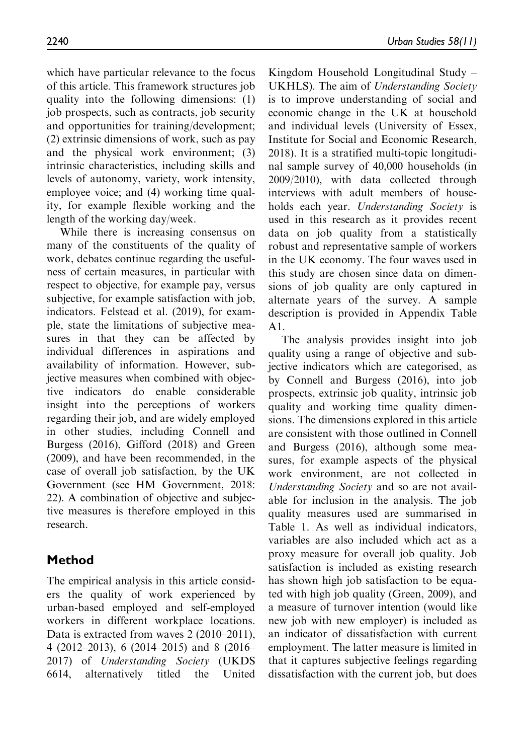which have particular relevance to the focus of this article. This framework structures job quality into the following dimensions: (1) job prospects, such as contracts, job security and opportunities for training/development; (2) extrinsic dimensions of work, such as pay and the physical work environment; (3) intrinsic characteristics, including skills and levels of autonomy, variety, work intensity, employee voice; and (4) working time quality, for example flexible working and the length of the working day/week.

While there is increasing consensus on many of the constituents of the quality of work, debates continue regarding the usefulness of certain measures, in particular with respect to objective, for example pay, versus subjective, for example satisfaction with job, indicators. Felstead et al. (2019), for example, state the limitations of subjective measures in that they can be affected by individual differences in aspirations and availability of information. However, subjective measures when combined with objective indicators do enable considerable insight into the perceptions of workers regarding their job, and are widely employed in other studies, including Connell and Burgess (2016), Gifford (2018) and Green (2009), and have been recommended, in the case of overall job satisfaction, by the UK Government (see HM Government, 2018: 22). A combination of objective and subjective measures is therefore employed in this research.

## Method

The empirical analysis in this article considers the quality of work experienced by urban-based employed and self-employed workers in different workplace locations. Data is extracted from waves 2 (2010–2011), 4 (2012–2013), 6 (2014–2015) and 8 (2016– 2017) of Understanding Society (UKDS 6614, alternatively titled the United Kingdom Household Longitudinal Study – UKHLS). The aim of Understanding Society is to improve understanding of social and economic change in the UK at household and individual levels (University of Essex, Institute for Social and Economic Research, 2018). It is a stratified multi-topic longitudinal sample survey of 40,000 households (in 2009/2010), with data collected through interviews with adult members of households each year. Understanding Society is used in this research as it provides recent data on job quality from a statistically robust and representative sample of workers in the UK economy. The four waves used in this study are chosen since data on dimensions of job quality are only captured in alternate years of the survey. A sample description is provided in Appendix Table A1.

The analysis provides insight into job quality using a range of objective and subjective indicators which are categorised, as by Connell and Burgess (2016), into job prospects, extrinsic job quality, intrinsic job quality and working time quality dimensions. The dimensions explored in this article are consistent with those outlined in Connell and Burgess (2016), although some measures, for example aspects of the physical work environment, are not collected in Understanding Society and so are not available for inclusion in the analysis. The job quality measures used are summarised in Table 1. As well as individual indicators, variables are also included which act as a proxy measure for overall job quality. Job satisfaction is included as existing research has shown high job satisfaction to be equated with high job quality (Green, 2009), and a measure of turnover intention (would like new job with new employer) is included as an indicator of dissatisfaction with current employment. The latter measure is limited in that it captures subjective feelings regarding dissatisfaction with the current job, but does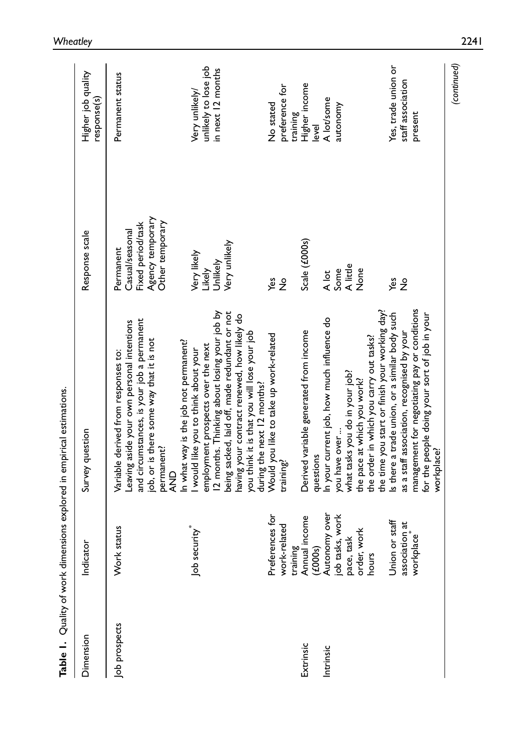|               |                                                                        | Table 1. Quality of work dimensions explored in empirical estimations.                                                                                                                                                                                                                                             |                                                                                          |                                                             |
|---------------|------------------------------------------------------------------------|--------------------------------------------------------------------------------------------------------------------------------------------------------------------------------------------------------------------------------------------------------------------------------------------------------------------|------------------------------------------------------------------------------------------|-------------------------------------------------------------|
| Dimension     | Indicator                                                              | Survey question                                                                                                                                                                                                                                                                                                    | Response scale                                                                           | Higher job quality<br>response(s)                           |
| Job prospects | Work status                                                            | and circumstances, is your job a permanent<br>Leaving aside your own personal intentions<br>job, or is there some way that it is not<br>Variable derived from responses to:<br>permanent?<br>QNQ                                                                                                                   | Agency temporary<br>Other temporary<br>Fixed period/task<br>Casual/seasonal<br>Permanent | Permanent status                                            |
|               | Job security                                                           | 12 months. Thinking about losing your job by<br>being sacked, laid off, made redundant or not<br>having your contract renewed, how likely do<br>you think it is that you will lose your job<br>In what way is the job not permanent?<br>employment prospects over the next<br>I would like you to think about your | Very unlikely<br>Very likely<br>Unlikely<br>Likely                                       | unlikely to lose job<br>in next 12 months<br>Very unlikely/ |
|               | Preferences for<br>work-related<br>training                            | Would you like to take up work-related<br>during the next 12 months?<br>training?                                                                                                                                                                                                                                  | yes<br>$\frac{\circ}{\mathsf{Z}}$                                                        | preference for<br>No stated<br>training                     |
| Extrinsic     | Annual income<br>(1000s)                                               | Derived variable generated from income<br>questions                                                                                                                                                                                                                                                                | Scale $(£000s)$                                                                          | Higher income<br>level                                      |
| Intrinsic     | Autonomy over<br>job tasks, work<br>order, work<br>pace, task<br>hours | In your current job, how much influence do<br>the order in which you carry out tasks?<br>what tasks you do in your job?<br>the pace at which you work?<br>you have over                                                                                                                                            | A little<br>Some<br>None<br>A lot                                                        | A lot/some<br>autonomy                                      |
|               | or staff<br>association at<br>workplace<br>Union                       | management for negotiating pay or conditions<br>the time you start or finish your working day?<br>Is there a trade union, or a similar body such<br>for the people doing your sort of job in your<br>as a staff association, recognised by your<br>workplace?                                                      | Š<br>$\frac{1}{2}$                                                                       | Yes, trade union or<br>staff association<br>present         |

(continued)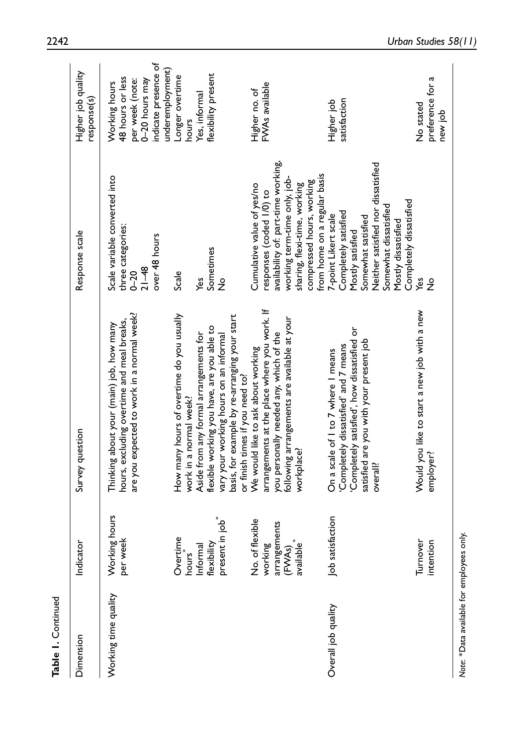| Table I. Continued   |                                                                             |                                                                                                                                                                                                                                                                                           |                                                                                                                                                                                                                            |                                                                                                |
|----------------------|-----------------------------------------------------------------------------|-------------------------------------------------------------------------------------------------------------------------------------------------------------------------------------------------------------------------------------------------------------------------------------------|----------------------------------------------------------------------------------------------------------------------------------------------------------------------------------------------------------------------------|------------------------------------------------------------------------------------------------|
| Dimension            | Indicator                                                                   | Survey question                                                                                                                                                                                                                                                                           | Response scale                                                                                                                                                                                                             | Higher job quality<br>response(s)                                                              |
| Working time quality | Working hours<br>per week                                                   | are you expected to work in a normal week?<br>hours, excluding overtime and meal breaks,<br>Thinking about your (main) job, how many                                                                                                                                                      | Scale variable converted into<br>three categories:<br>over 48 hours<br>$21 - 48$<br>$0 - 20$                                                                                                                               | indicate presence of<br>48 hours or less<br>0-20 hours may<br>per week (note:<br>Working hours |
|                      | present in job <sup>*</sup><br>Overtime<br>flexibility<br>Informal<br>hours | How many hours of overtime do you usually<br>basis, for example by re-arranging your start<br>flexible working you have, are you able to<br>Aside from any formal arrangements for<br>vary your working hours on an informal<br>or finish times if you need to?<br>work in a normal week? | Sometimes<br>Scale<br>yes<br>$\frac{1}{2}$                                                                                                                                                                                 | underemployment)<br>flexibility present<br>Longer overtime<br>Yes, informal<br>hours           |
|                      | No. of flexible<br>arrangements<br>(FWAs)<br>available<br>working           | arrangements at the place where you work. If<br>following arrangements are available at your<br>you personally needed any, which of the<br>We would like to ask about working<br>workplace?                                                                                               | availability of: part-time working,<br>from home on a regular basis<br>working term-time only, job-<br>compressed hours, working<br>sharing, flexi-time, working<br>Cumulative value of yes/no<br>responses (coded I/0) to | FWAs available<br>Higher no. of                                                                |
| Overall job quality  | Job satisfaction                                                            | Completely satisfied', how dissatisfied or<br>satisfied are you with your present job<br>'Completely dissatisfied' and 7 means<br>On a scale of I to 7 where I means<br>overall?                                                                                                          | Neither satisfied nor dissatisfied<br>Completely dissatisfied<br>Somewhat dissatisfied<br>Completely satisfied<br>7-point Likert scale<br>Somewhat satisfied<br>Mostly dissatisfied<br>Mostly satisfied                    | satisfaction<br>Higher job                                                                     |
|                      | Turnover<br>intention                                                       | Would you like to start a new job with a new<br>employer?                                                                                                                                                                                                                                 | уeз<br>$\frac{1}{2}$                                                                                                                                                                                                       | preference for a<br>No stated<br>new job                                                       |

Note: \*Data available for employees only.

Note: \*Data available for employees only.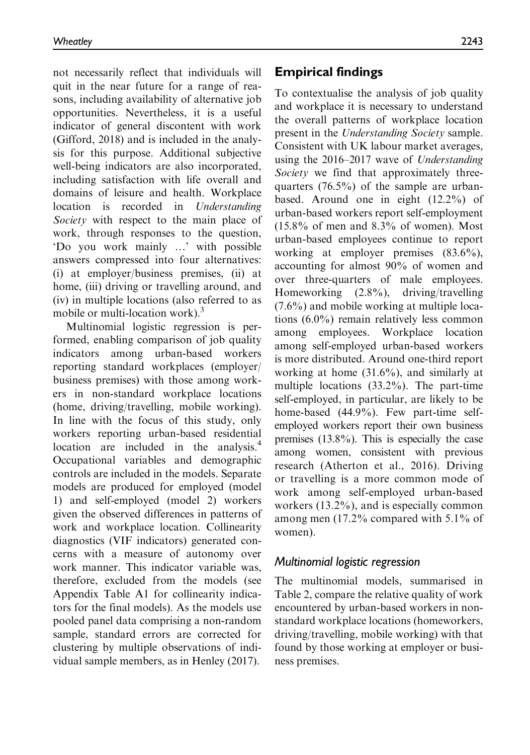not necessarily reflect that individuals will quit in the near future for a range of reasons, including availability of alternative job opportunities. Nevertheless, it is a useful indicator of general discontent with work (Gifford, 2018) and is included in the analysis for this purpose. Additional subjective well-being indicators are also incorporated, including satisfaction with life overall and domains of leisure and health. Workplace location is recorded in Understanding Society with respect to the main place of work, through responses to the question, 'Do you work mainly ...' with possible answers compressed into four alternatives: (i) at employer/business premises, (ii) at home, (iii) driving or travelling around, and (iv) in multiple locations (also referred to as mobile or multi-location work).<sup>3</sup>

Multinomial logistic regression is performed, enabling comparison of job quality indicators among urban-based workers reporting standard workplaces (employer/ business premises) with those among workers in non-standard workplace locations (home, driving/travelling, mobile working). In line with the focus of this study, only workers reporting urban-based residential location are included in the analysis.<sup>4</sup> Occupational variables and demographic controls are included in the models. Separate models are produced for employed (model 1) and self-employed (model 2) workers given the observed differences in patterns of work and workplace location. Collinearity diagnostics (VIF indicators) generated concerns with a measure of autonomy over work manner. This indicator variable was, therefore, excluded from the models (see Appendix Table A1 for collinearity indicators for the final models). As the models use pooled panel data comprising a non-random sample, standard errors are corrected for clustering by multiple observations of individual sample members, as in Henley (2017).

## Empirical findings

To contextualise the analysis of job quality and workplace it is necessary to understand the overall patterns of workplace location present in the *Understanding Society* sample. Consistent with UK labour market averages, using the 2016–2017 wave of Understanding Society we find that approximately threequarters (76.5%) of the sample are urbanbased. Around one in eight (12.2%) of urban-based workers report self-employment  $(15.8\% \text{ of men and } 8.3\% \text{ of women}).$  Most urban-based employees continue to report working at employer premises (83.6%), accounting for almost 90% of women and over three-quarters of male employees. Homeworking (2.8%), driving/travelling (7.6%) and mobile working at multiple locations (6.0%) remain relatively less common among employees. Workplace location among self-employed urban-based workers is more distributed. Around one-third report working at home (31.6%), and similarly at multiple locations (33.2%). The part-time self-employed, in particular, are likely to be home-based (44.9%). Few part-time selfemployed workers report their own business premises (13.8%). This is especially the case among women, consistent with previous research (Atherton et al., 2016). Driving or travelling is a more common mode of work among self-employed urban-based workers (13.2%), and is especially common among men (17.2% compared with 5.1% of women).

#### Multinomial logistic regression

The multinomial models, summarised in Table 2, compare the relative quality of work encountered by urban-based workers in nonstandard workplace locations (homeworkers, driving/travelling, mobile working) with that found by those working at employer or business premises.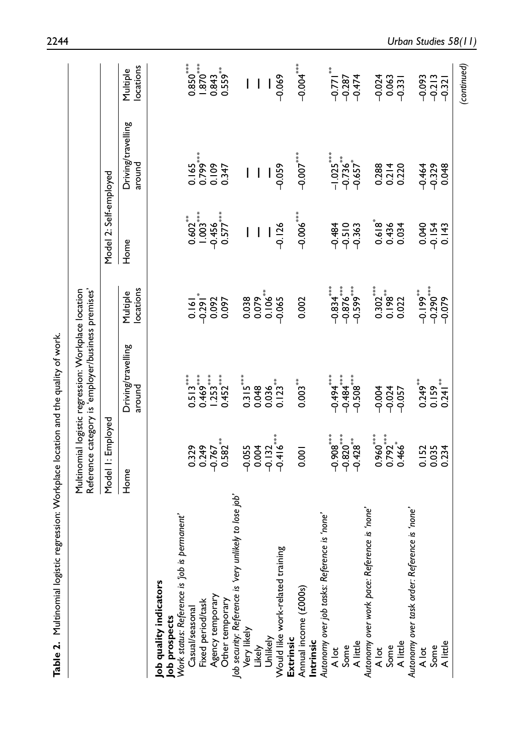| Multinomial logistic regression: Workplace location and the quality of work.<br>Table 2. |                            |                                                                                                           |                                |                          |                                      |                          |
|------------------------------------------------------------------------------------------|----------------------------|-----------------------------------------------------------------------------------------------------------|--------------------------------|--------------------------|--------------------------------------|--------------------------|
|                                                                                          |                            | Reference category is 'employer/business premises'<br>Multinomial logistic regression: Workplace location |                                |                          |                                      |                          |
|                                                                                          | Model I: Employed          |                                                                                                           |                                | Model 2: Self-employed   |                                      |                          |
|                                                                                          | Home                       | Driving/travelling<br>around                                                                              | locations<br>Multiple          | Home                     | Driving/travelling<br>around         | locations<br>Multiple    |
| Work status: Reference is 'job is permanent'<br>Job quality indicators<br>Job prospects  |                            |                                                                                                           |                                |                          |                                      |                          |
| Casual/seasonal                                                                          | 0.329                      | $0.469***$<br>$0.513***$                                                                                  | $-0.291$ <sup>*</sup><br>0.161 | $1.003***$<br>$0.602***$ | 0.799***<br>0.165                    | $0.850***$<br>$1.870***$ |
| Fixed period/task<br>Agency temporary                                                    | 0.249<br>$-0.767$          | $1.253***$                                                                                                | 0.092                          | $-0.456$                 | 0.109                                | 0.843                    |
| Other temporary                                                                          | $0.582***$                 | $0.452***$                                                                                                | 0.097                          | $0.577***$               | 0.347                                | $0.559***$               |
| Job security: Reference is 'very unlikely to lose job'                                   |                            |                                                                                                           |                                |                          |                                      |                          |
| Very likely                                                                              | $-0.055$<br>0.004          | $0.315***$<br>0.048                                                                                       | 0.038<br>0.079                 | I                        | I<br>I                               |                          |
| Likely<br>Unlikely                                                                       | $-0.132$                   | 0.036                                                                                                     | $0.106***$                     |                          |                                      |                          |
| Would like work-related training                                                         | $-0.416$ ***               | $0.123***$                                                                                                | $-0.065$                       | $-0.126$                 | $-0.059$                             | $-0.069$                 |
| Extrinsic                                                                                |                            | $0.003***$                                                                                                |                                |                          | $-0.007***$                          | $-0.004***$              |
| Annual income (£000s)<br>Intrinsic                                                       | 0.001                      |                                                                                                           | 0.002                          | $-0.006$ ***             |                                      |                          |
| is 'none'<br>Autonomy over job tasks: Reference                                          |                            |                                                                                                           |                                |                          |                                      |                          |
| A lot                                                                                    | $-0.820***$<br>$-0.908***$ | $-0.484$ ***<br>$-0.494$ ***                                                                              | $-0.876***$<br>$-0.834***$     | $-0.484$                 | $-1.025***$                          | $-0.771$ <sup>**</sup>   |
| A little<br>Some                                                                         | $-0.428$ **                | $-0.508***$                                                                                               | $-0.599***$                    | $-0.510$<br>$-0.363$     | $-0.736$ **<br>$-0.657$ <sup>*</sup> | $-0.287$<br>$-0.474$     |
| Autonomy over work pace: Reference is 'none                                              |                            |                                                                                                           |                                |                          |                                      |                          |
| A lot                                                                                    | $0.960***$                 | $-0.004$                                                                                                  | $0.302***$                     | $0.618^{*}$              | 0.288                                | $-0.024$                 |
| Some                                                                                     | $0.792***$                 | $-0.024$                                                                                                  | $0.198***$                     | 0.436                    | 0.214                                | 0.063                    |
| A little                                                                                 | 0.466                      | $-0.057$                                                                                                  | 0.022                          | 0.034                    | 0.220                                | $-0.331$                 |
| Autonomy over task order: Reference is 'none'                                            |                            |                                                                                                           |                                |                          |                                      |                          |
| A lot                                                                                    | 0.152                      | $0.249***$                                                                                                | $-0.199$ **                    | 0.040                    | $-0.464$                             | $-0.093$                 |
| Some                                                                                     | 0.035                      | 0.159                                                                                                     | $-0.290***$                    | $-0.154$                 | $-0.329$                             | $-0.213$                 |
| A little                                                                                 | 0.234                      | $0.241***$                                                                                                | $-0.079$                       | 0.143                    | 0.048                                | $-0.321$                 |
|                                                                                          |                            |                                                                                                           |                                |                          |                                      | (continued)              |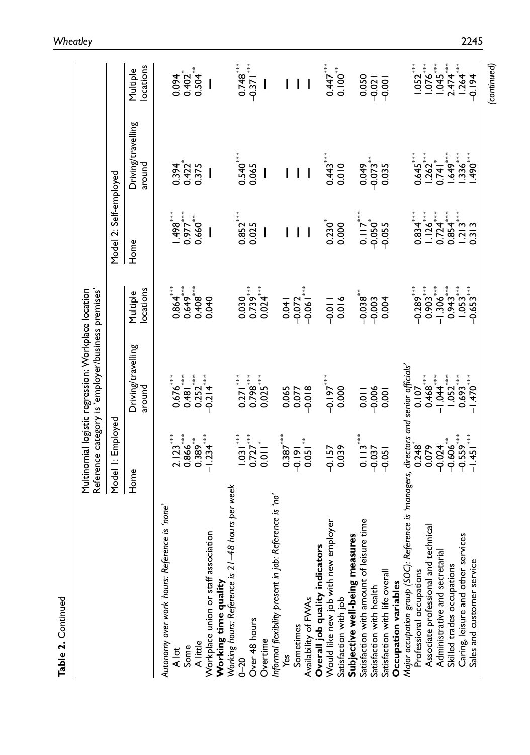|                                                                                       |                                        | Reference category is 'employer/business premises'<br>Multinomial logistic regression: Workplace location |                       |                          |                              |                       |
|---------------------------------------------------------------------------------------|----------------------------------------|-----------------------------------------------------------------------------------------------------------|-----------------------|--------------------------|------------------------------|-----------------------|
|                                                                                       | Model I: Employed                      |                                                                                                           |                       | Model 2: Self-employed   |                              |                       |
|                                                                                       | Home                                   | Driving/travelling<br>around                                                                              | locations<br>Multiple | Home                     | Driving/travelling<br>around | ocations<br>Multiple  |
| Autonomy over work hours: Reference is 'none'                                         |                                        |                                                                                                           |                       |                          |                              |                       |
| A lot                                                                                 | $2.123***$                             | $0.676***$                                                                                                | $0.864***$            | $1.498***$               | 0.394                        | 0.094                 |
| Some                                                                                  | $0.866***$                             | $0.481***$                                                                                                | $0.649***$            | $0.977***$               | $0.422$ <sup>*</sup>         | $0.402$ <sup>*</sup>  |
| A little                                                                              | $0.389***$                             | $0.252***$                                                                                                | $0.408***$            | $0.660***$               | 0.375                        | $0.504***$            |
| Workplace union or staff association                                                  | $-1.234***$                            | $-0.214***$                                                                                               | 0.040                 | I                        | I                            | I                     |
| Working time quality                                                                  |                                        |                                                                                                           |                       |                          |                              |                       |
| 8 hours per week<br>Working hours: Reference is 21-4                                  |                                        |                                                                                                           |                       |                          |                              |                       |
| $0 - 20$                                                                              | $1.031***$                             | $0.271***$                                                                                                | 0.030                 | $0.852***$               | $0.540***$                   | $0.748***$            |
| Over 48 hours                                                                         | $0.727***$                             | $0.798***$                                                                                                | $0.739***$            | 0.025                    | 0.065                        | $-0.371$ ***          |
| Overtime                                                                              | $\begin{array}{c} \n0.011 \end{array}$ | $0.025***$                                                                                                | $0.024***$            |                          | I                            |                       |
| eference is 'no'<br>Informal flexibility present in job: R                            |                                        |                                                                                                           |                       |                          |                              |                       |
| Yes                                                                                   | $0.387***$                             | 0.065                                                                                                     | 0.041                 |                          |                              |                       |
| Sometimes                                                                             | $-0.191$                               | 0.077                                                                                                     | $-0.072$              |                          |                              |                       |
| Availability of FWAs                                                                  | $0.051***$                             | $-0.018$                                                                                                  | $-0.061***$           | $\overline{\phantom{a}}$ |                              | I                     |
| بر<br>پ<br>Overall job quality indicator                                              |                                        |                                                                                                           |                       |                          |                              |                       |
| Would like new job with new employer                                                  | $-0.157$                               | $-0.197***$                                                                                               | $rac{1}{2}$           | $0.230^{*}$              | $0.443***$                   | $0.447***$            |
| Satisfaction with job                                                                 | 0.039                                  | 0.000                                                                                                     | 0.016                 | 0.000                    | 0.010                        | $0.100***$            |
| Subjective well-being measures                                                        |                                        |                                                                                                           |                       |                          |                              |                       |
| Satisfaction with amount of leisure time                                              | $0.113***$                             | $\frac{1}{2}$                                                                                             | $-0.038***$           | $0.117***$               | 0.049                        | 0.050                 |
| Satisfaction with health                                                              | $-0.037$                               | $-0.006$                                                                                                  | $-0.003$              | $-0.050^{*}$             | $-0.073***$                  | $-0.021$              |
| Satisfaction with life overall                                                        | $-0.051$                               | 0.001                                                                                                     | 0.004                 | $-0.055$                 | 0.035                        | $-0.001$              |
| Occupation variables                                                                  |                                        |                                                                                                           |                       |                          |                              |                       |
| Major occupation group (SOC): Reference is 'managers, directors and senior officials' |                                        |                                                                                                           |                       |                          |                              |                       |
| Professional occupations                                                              | $0.248$ <sup>*</sup>                   | 0.107                                                                                                     | $-0.289***$           | $0.834***$               | $0.645***$                   |                       |
| Associate professional and technical                                                  | 0.079                                  | $0.468***$                                                                                                | $0.903***$            | $1.126***$               | $1.262***$                   | $\frac{1.052}{1.076}$ |
| Administrative and secretarial                                                        | $-0.024$                               | $-1.044$ ***                                                                                              | $-1.306***$           | $0.724***$               | $0.741$ <sup>*</sup>         | $1.045***$            |
| Skilled trades occupations                                                            | $-0.606$ **                            | $1.052***$                                                                                                | $0.943***$            | $0.854***$               | $1.649***$                   | $2.474***$            |
| Caring, leisure and other services                                                    | $-0.559***$                            | $0.693***$                                                                                                | $1.053***$<br>-0.653  | $1.213***$               | $1.336***$                   | $1.264***$            |
| Sales and customer service                                                            | $-1.451$ <sup>***</sup>                | $-1.470***$                                                                                               |                       | 0.313                    | $1.490***$                   | $-0.194$              |
|                                                                                       |                                        |                                                                                                           |                       |                          |                              | (continued)           |

Wheatley 2245

Table 2. Continued

Table 2. Continued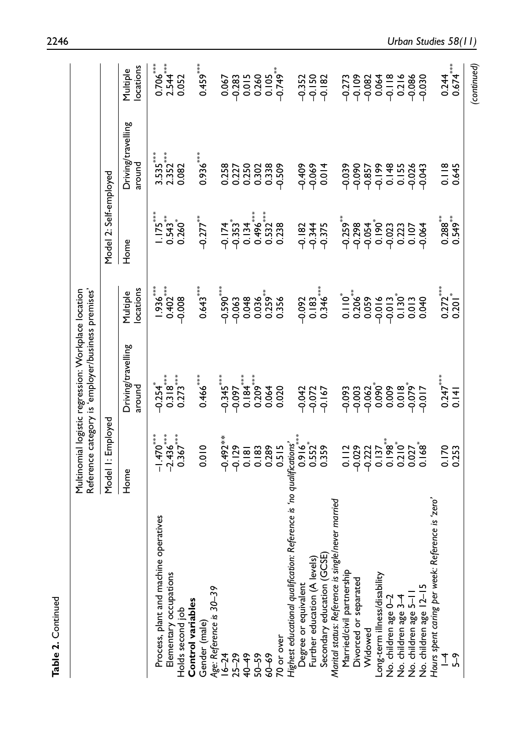|                                                                       |                             | Reference category is 'employer/business premises'<br>Multinomial logistic regression: Workplace location |                           |                          |                              |                          |
|-----------------------------------------------------------------------|-----------------------------|-----------------------------------------------------------------------------------------------------------|---------------------------|--------------------------|------------------------------|--------------------------|
|                                                                       | Model I: Employed           |                                                                                                           |                           | Model 2: Self-employed   |                              |                          |
|                                                                       | Home                        | Driving/travelling<br>around                                                                              | ocations<br>Multiple      | Home                     | Driving/travelling<br>around | ocations<br>Multiple     |
| Process, plant and machine operatives<br>Elementary occupations       | $-2.436$ ***<br>$-1.470***$ | $0.318***$<br>$-0.254$ <sup>*</sup>                                                                       | $1.936***$<br>$0.402***$  | $1.175***$<br>$0.543***$ | $2.352***$<br>$3.535***$     | $0.706***$<br>$2.544***$ |
| Control variables<br>Holds second job                                 | $0.367***$                  | $0.273***$                                                                                                | $-0.008$                  | $0.260^{*}$              | 0.082                        | 0.052                    |
| Age: Reference is 30-39<br>Gender (male)                              | 0.010                       | $0.466***$                                                                                                | $0.643***$                | $-0.277$ **              | $0.936***$                   | $0.459***$               |
| $16 - 24$                                                             | $-0.492**$                  | $-0.345***$                                                                                               | $-0.590***$               | $-0.174$                 | 0.258                        | 0.067                    |
| $25 - 29$                                                             | $-0.129$                    | $-0.097$                                                                                                  | $-0.063$                  | $-0.353$ <sup>*</sup>    | 0.227                        | $-0.283$                 |
| $40 - 49$<br>$50 - 59$                                                | 0.183<br>0.181              | $0.184***$<br>$0.209***$                                                                                  | 0.048<br>0.036            | $0.496***$<br>0.134      | 0.250<br>0.302               | 0.260<br>0.015           |
| $60 - 69$                                                             | 0.289                       | 0.064                                                                                                     | $0.259***$                | $0.532***$               | 0.338                        | 0.105                    |
| 70 or over                                                            | 0.515                       | 0.020                                                                                                     | 0.356                     | 0.238                    | $-0.509$                     | $-0.749***$              |
| Highest educational qualification: Reference is 'no qualifications'   |                             |                                                                                                           |                           |                          |                              |                          |
| Degree or equivalent                                                  | $0.916***$                  | $-0.042$                                                                                                  | $-0.092$                  | $-0.182$                 | $-0.409$                     | $-0.352$                 |
| Further education (A levels)                                          | $0.552$ <sup>*</sup>        | $-0.072$                                                                                                  | 0.183                     | $-0.344$                 | $-0.069$                     | $-0.150$                 |
| Secondary education (GCSE)                                            | 0.359                       | $-0.167$                                                                                                  | $0.346***$                | $-0.375$                 | 0.014                        | $-0.182$                 |
| never married<br>Marital status: Reference is single/                 |                             |                                                                                                           |                           |                          |                              |                          |
| Married/civil partnership<br>Divorced or separated                    | $-0.029$<br>0.112           | $-0.093$<br>$-0.003$                                                                                      | $0.206***$<br>$0.110^{*}$ | $-0.259$ **<br>$-0.298$  | $-0.039$<br>$-0.090$         | $-0.109$<br>$-0.273$     |
| Widowed                                                               | $-0.222$                    | $-0.062$                                                                                                  | 0.059                     | $-0.054$                 | $-0.857$                     | $-0.082$                 |
| Long-term illness/disability                                          | 0.137                       | 0.090                                                                                                     | $-0.016$                  | $0.190^{*}$              | $-0.199$                     | 0.064                    |
|                                                                       | $0.198***$                  | 0.009                                                                                                     | $-0.013$                  | $-0.023$                 | 0.148                        | $-0.118$                 |
| No. children age 0–2<br>No. children age 3–4<br>No. children age 5–11 | $0.210^{*}$                 | 0.018                                                                                                     | $0.130^{*}$               | 0.223                    | 0.155                        | 0.216                    |
|                                                                       | 0.027                       | $-0.079$ <sup>*</sup>                                                                                     | 0.013                     | 0.107                    | $-0.026$                     | $-0.086$                 |
| No. children age 12-15                                                | $0.168$ <sup>*</sup>        | $-0.017$                                                                                                  | 0.040                     | $-0.064$                 | $-0.043$                     | $-0.030$                 |
| Hours spent caring per week: Reference is 'zero'                      |                             |                                                                                                           |                           |                          |                              |                          |
| $\overline{1}$                                                        | 0.170                       | $0.247***$                                                                                                | $0.272***$                | $0.288***$               | 0.118                        | 0.244                    |
| ე<br>ა                                                                | 0.253                       | $\frac{141}{}$                                                                                            | $0.201$ <sup>*</sup>      | $0.549***$               | 0.645                        | $0.674***$               |
|                                                                       |                             |                                                                                                           |                           |                          |                              | (continued)              |

Table 2. Continued

Table 2. Continued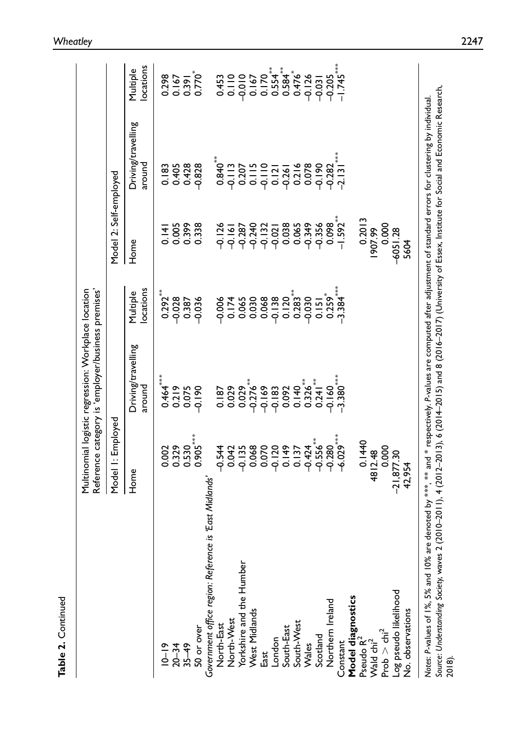|                                                                                                                                                                                                                         |                         | Reference category is 'employer/business premises'<br>Multinomial logistic regression: Workplace location |                      |                        |                                                                                                                                 |                                          |
|-------------------------------------------------------------------------------------------------------------------------------------------------------------------------------------------------------------------------|-------------------------|-----------------------------------------------------------------------------------------------------------|----------------------|------------------------|---------------------------------------------------------------------------------------------------------------------------------|------------------------------------------|
|                                                                                                                                                                                                                         | Model I: Employed       |                                                                                                           |                      | Model 2: Self-employed |                                                                                                                                 |                                          |
|                                                                                                                                                                                                                         | Home                    | Driving/travelling<br>around                                                                              | ocations<br>Multiple | Home                   | Driving/travelling<br>around                                                                                                    | ocations<br>Multiple                     |
|                                                                                                                                                                                                                         | 0.002                   | $0.464$<br>$0.219$<br>$0.075$                                                                             | $0.292***$           | $rac{4}{5}$            | 0.183                                                                                                                           | 0.298                                    |
| $0 - 34$<br>20-34<br>25-49                                                                                                                                                                                              | 0.329<br>0.530<br>0.905 |                                                                                                           | $-0.028$             | 0.005                  | 0.405<br>0.428                                                                                                                  |                                          |
|                                                                                                                                                                                                                         |                         |                                                                                                           | 0.387                | 0.399                  |                                                                                                                                 | 0.167                                    |
| 50 or over                                                                                                                                                                                                              |                         | $-0.190$                                                                                                  | $-0.036$             | 0.338                  | $-0.828$                                                                                                                        | 0.770                                    |
| Government office region: Reference is 'East Midlands                                                                                                                                                                   |                         |                                                                                                           |                      |                        |                                                                                                                                 |                                          |
|                                                                                                                                                                                                                         | $-0.544$                |                                                                                                           | $-0.006$             | $-0.126$               | $0.840**$                                                                                                                       | 0.453                                    |
| North-East<br>North-West                                                                                                                                                                                                | 0.042                   |                                                                                                           | 0.174                | $-0.161$               | $-0.113$                                                                                                                        | 0.110                                    |
|                                                                                                                                                                                                                         | $-0.135$                |                                                                                                           | 0.065                |                        | 0.207                                                                                                                           |                                          |
| Yorkshire and the Humber<br>West Midlands                                                                                                                                                                               |                         |                                                                                                           | 0.030                | $-0.287$<br>$-0.240$   | 0.115                                                                                                                           | $-0.0167$                                |
| East                                                                                                                                                                                                                    | 0.068                   | 0.187<br>0.029<br>0.029*<br>0.169<br>0.169                                                                | 0.068                | $-0.132$<br>$-0.021$   | $-0.110$                                                                                                                        | $0.170$<br>$0.554$<br>$0.584$<br>$0.476$ |
| London<br>South-East<br>South-West<br>Wales<br>Scotland                                                                                                                                                                 | $-0.120$                | $-0.183$                                                                                                  | $-0.138$             |                        | 0.121                                                                                                                           |                                          |
|                                                                                                                                                                                                                         | 0.149                   | 0.092                                                                                                     | 0.120                | 0.038                  | $-0.261$                                                                                                                        |                                          |
|                                                                                                                                                                                                                         | 0.137                   |                                                                                                           | $0.283***$           | 0.065                  | 0.216                                                                                                                           |                                          |
|                                                                                                                                                                                                                         | $-0.424$                | $0.140$<br>$0.326$<br>$0.241$                                                                             | $-0.030$             | $-0.349$               | 0.078                                                                                                                           | $-0.126$                                 |
|                                                                                                                                                                                                                         | $-0.556***$             |                                                                                                           | 0.151                | $-0.356$               | $-0.190$                                                                                                                        | $-0.031$                                 |
| Northern Ireland                                                                                                                                                                                                        | $-0.280$                | $-0.160$                                                                                                  | $0.259$ <sup>*</sup> | 0.098                  | $-0.282$                                                                                                                        | $-0.205$<br>$-1.745$                     |
| Constant                                                                                                                                                                                                                | $-6.029***$             | $-3.380***$                                                                                               | $-3.384***$          | $-1.592$ **            | $-2.131***$                                                                                                                     |                                          |
|                                                                                                                                                                                                                         |                         |                                                                                                           |                      |                        |                                                                                                                                 |                                          |
| Model diagnostics<br>Pseudo R <sup>2</sup><br>Wald chi <sup>2</sup><br>Prob > chi <sup>2</sup>                                                                                                                          | 0.1440                  |                                                                                                           |                      | 0.2013                 |                                                                                                                                 |                                          |
|                                                                                                                                                                                                                         | 4812.48                 |                                                                                                           |                      | 1907.99                |                                                                                                                                 |                                          |
|                                                                                                                                                                                                                         | 0.000                   |                                                                                                           |                      | 0.000                  |                                                                                                                                 |                                          |
|                                                                                                                                                                                                                         | $-21,877.30$            |                                                                                                           |                      | $-6051.28$             |                                                                                                                                 |                                          |
| Log pseudo likelihood<br>No. observations                                                                                                                                                                               | 42,954                  |                                                                                                           |                      | 5604                   |                                                                                                                                 |                                          |
| Notes: P-values of 1%, 5% and 10% are denoted by ***, *** and * respectively. P-values are computed after adjustment of standard errors for clustering by individual.<br>Source: Understanding Society, waves<br>2018). |                         |                                                                                                           |                      |                        | 2 (2010–2011), 4 (2012–2013), 6 (2014–2015) and 8 (2016–2017) (University of Essex, Institute for Social and Economic Research, |                                          |

Table 2. Continued

Table 2. Continued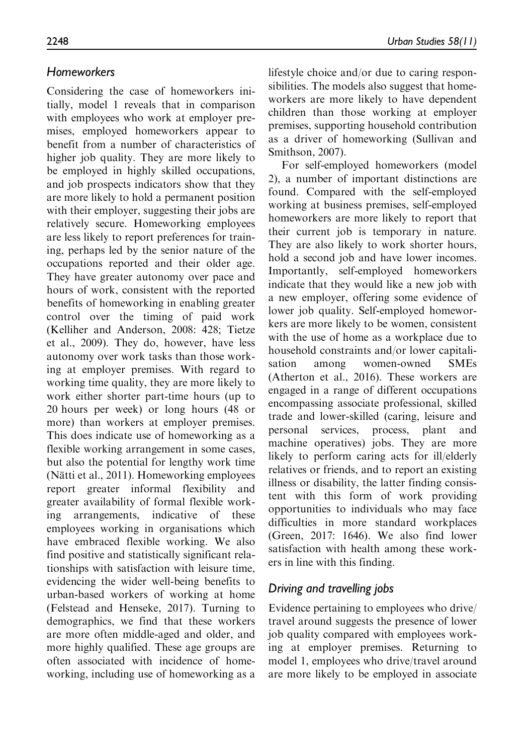## Homeworkers

Considering the case of homeworkers initially, model 1 reveals that in comparison with employees who work at employer premises, employed homeworkers appear to benefit from a number of characteristics of higher job quality. They are more likely to be employed in highly skilled occupations, and job prospects indicators show that they are more likely to hold a permanent position with their employer, suggesting their jobs are relatively secure. Homeworking employees are less likely to report preferences for training, perhaps led by the senior nature of the occupations reported and their older age. They have greater autonomy over pace and hours of work, consistent with the reported benefits of homeworking in enabling greater control over the timing of paid work (Kelliher and Anderson, 2008: 428; Tietze et al., 2009). They do, however, have less autonomy over work tasks than those working at employer premises. With regard to working time quality, they are more likely to work either shorter part-time hours (up to 20 hours per week) or long hours (48 or more) than workers at employer premises. This does indicate use of homeworking as a flexible working arrangement in some cases, but also the potential for lengthy work time (Nätti et al., 2011). Homeworking employees report greater informal flexibility and greater availability of formal flexible working arrangements, indicative of these employees working in organisations which have embraced flexible working. We also find positive and statistically significant relationships with satisfaction with leisure time, evidencing the wider well-being benefits to urban-based workers of working at home (Felstead and Henseke, 2017). Turning to demographics, we find that these workers are more often middle-aged and older, and more highly qualified. These age groups are often associated with incidence of homeworking, including use of homeworking as a lifestyle choice and/or due to caring responsibilities. The models also suggest that homeworkers are more likely to have dependent children than those working at employer premises, supporting household contribution as a driver of homeworking (Sullivan and Smithson, 2007).

For self-employed homeworkers (model 2), a number of important distinctions are found. Compared with the self-employed working at business premises, self-employed homeworkers are more likely to report that their current job is temporary in nature. They are also likely to work shorter hours, hold a second job and have lower incomes. Importantly, self-employed homeworkers indicate that they would like a new job with a new employer, offering some evidence of lower job quality. Self-employed homeworkers are more likely to be women, consistent with the use of home as a workplace due to household constraints and/or lower capitalisation among women-owned SMEs (Atherton et al., 2016). These workers are engaged in a range of different occupations encompassing associate professional, skilled trade and lower-skilled (caring, leisure and personal services, process, plant and machine operatives) jobs. They are more likely to perform caring acts for ill/elderly relatives or friends, and to report an existing illness or disability, the latter finding consistent with this form of work providing opportunities to individuals who may face difficulties in more standard workplaces (Green, 2017: 1646). We also find lower satisfaction with health among these workers in line with this finding.

#### Driving and travelling jobs

Evidence pertaining to employees who drive/ travel around suggests the presence of lower job quality compared with employees working at employer premises. Returning to model 1, employees who drive/travel around are more likely to be employed in associate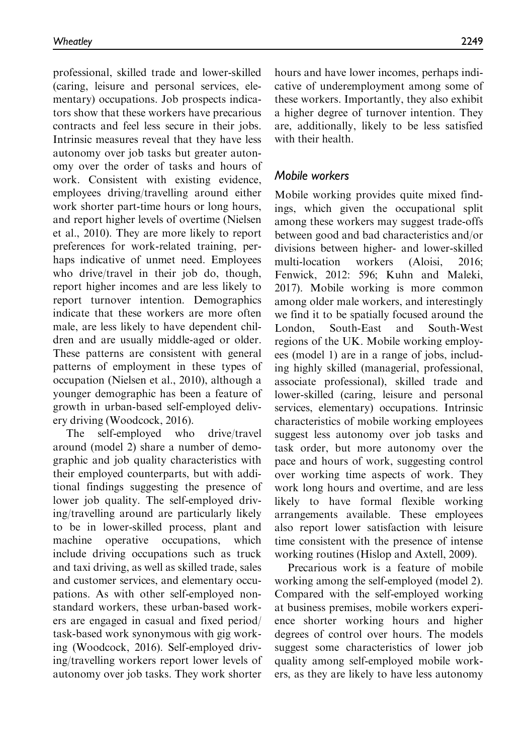professional, skilled trade and lower-skilled (caring, leisure and personal services, elementary) occupations. Job prospects indicators show that these workers have precarious contracts and feel less secure in their jobs. Intrinsic measures reveal that they have less autonomy over job tasks but greater autonomy over the order of tasks and hours of work. Consistent with existing evidence, employees driving/travelling around either work shorter part-time hours or long hours, and report higher levels of overtime (Nielsen et al., 2010). They are more likely to report preferences for work-related training, perhaps indicative of unmet need. Employees who drive/travel in their job do, though, report higher incomes and are less likely to report turnover intention. Demographics indicate that these workers are more often male, are less likely to have dependent children and are usually middle-aged or older. These patterns are consistent with general patterns of employment in these types of occupation (Nielsen et al., 2010), although a younger demographic has been a feature of growth in urban-based self-employed delivery driving (Woodcock, 2016).

The self-employed who drive/travel around (model 2) share a number of demographic and job quality characteristics with their employed counterparts, but with additional findings suggesting the presence of lower job quality. The self-employed driving/travelling around are particularly likely to be in lower-skilled process, plant and machine operative occupations, which include driving occupations such as truck and taxi driving, as well as skilled trade, sales and customer services, and elementary occupations. As with other self-employed nonstandard workers, these urban-based workers are engaged in casual and fixed period/ task-based work synonymous with gig working (Woodcock, 2016). Self-employed driving/travelling workers report lower levels of autonomy over job tasks. They work shorter

hours and have lower incomes, perhaps indicative of underemployment among some of these workers. Importantly, they also exhibit a higher degree of turnover intention. They are, additionally, likely to be less satisfied with their health.

#### Mobile workers

Mobile working provides quite mixed findings, which given the occupational split among these workers may suggest trade-offs between good and bad characteristics and/or divisions between higher- and lower-skilled multi-location workers (Aloisi, 2016; Fenwick, 2012: 596; Kuhn and Maleki, 2017). Mobile working is more common among older male workers, and interestingly we find it to be spatially focused around the London, South-East and South-West regions of the UK. Mobile working employees (model 1) are in a range of jobs, including highly skilled (managerial, professional, associate professional), skilled trade and lower-skilled (caring, leisure and personal services, elementary) occupations. Intrinsic characteristics of mobile working employees suggest less autonomy over job tasks and task order, but more autonomy over the pace and hours of work, suggesting control over working time aspects of work. They work long hours and overtime, and are less likely to have formal flexible working arrangements available. These employees also report lower satisfaction with leisure time consistent with the presence of intense working routines (Hislop and Axtell, 2009).

Precarious work is a feature of mobile working among the self-employed (model 2). Compared with the self-employed working at business premises, mobile workers experience shorter working hours and higher degrees of control over hours. The models suggest some characteristics of lower job quality among self-employed mobile workers, as they are likely to have less autonomy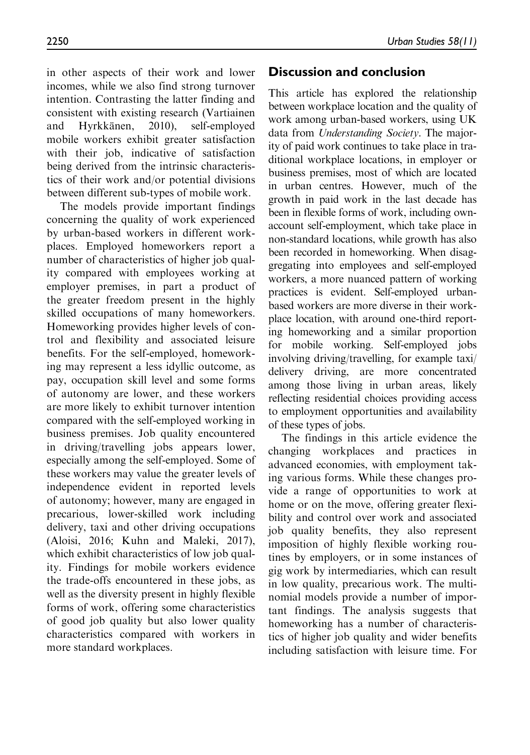in other aspects of their work and lower incomes, while we also find strong turnover intention. Contrasting the latter finding and consistent with existing research (Vartiainen and Hyrkkänen, 2010), self-employed mobile workers exhibit greater satisfaction with their job, indicative of satisfaction being derived from the intrinsic characteristics of their work and/or potential divisions between different sub-types of mobile work.

The models provide important findings concerning the quality of work experienced by urban-based workers in different workplaces. Employed homeworkers report a number of characteristics of higher job quality compared with employees working at employer premises, in part a product of the greater freedom present in the highly skilled occupations of many homeworkers. Homeworking provides higher levels of control and flexibility and associated leisure benefits. For the self-employed, homeworking may represent a less idyllic outcome, as pay, occupation skill level and some forms of autonomy are lower, and these workers are more likely to exhibit turnover intention compared with the self-employed working in business premises. Job quality encountered in driving/travelling jobs appears lower, especially among the self-employed. Some of these workers may value the greater levels of independence evident in reported levels of autonomy; however, many are engaged in precarious, lower-skilled work including delivery, taxi and other driving occupations (Aloisi, 2016; Kuhn and Maleki, 2017), which exhibit characteristics of low job quality. Findings for mobile workers evidence the trade-offs encountered in these jobs, as well as the diversity present in highly flexible forms of work, offering some characteristics of good job quality but also lower quality characteristics compared with workers in more standard workplaces.

## Discussion and conclusion

This article has explored the relationship between workplace location and the quality of work among urban-based workers, using UK data from Understanding Society. The majority of paid work continues to take place in traditional workplace locations, in employer or business premises, most of which are located in urban centres. However, much of the growth in paid work in the last decade has been in flexible forms of work, including ownaccount self-employment, which take place in non-standard locations, while growth has also been recorded in homeworking. When disaggregating into employees and self-employed workers, a more nuanced pattern of working practices is evident. Self-employed urbanbased workers are more diverse in their workplace location, with around one-third reporting homeworking and a similar proportion for mobile working. Self-employed jobs involving driving/travelling, for example taxi/ delivery driving, are more concentrated among those living in urban areas, likely reflecting residential choices providing access to employment opportunities and availability of these types of jobs.

The findings in this article evidence the changing workplaces and practices in advanced economies, with employment taking various forms. While these changes provide a range of opportunities to work at home or on the move, offering greater flexibility and control over work and associated job quality benefits, they also represent imposition of highly flexible working routines by employers, or in some instances of gig work by intermediaries, which can result in low quality, precarious work. The multinomial models provide a number of important findings. The analysis suggests that homeworking has a number of characteristics of higher job quality and wider benefits including satisfaction with leisure time. For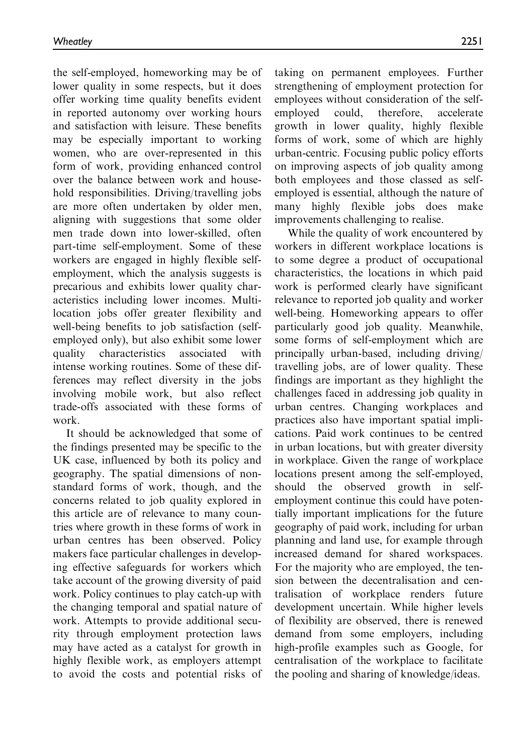the self-employed, homeworking may be of lower quality in some respects, but it does offer working time quality benefits evident in reported autonomy over working hours and satisfaction with leisure. These benefits may be especially important to working women, who are over-represented in this form of work, providing enhanced control over the balance between work and household responsibilities. Driving/travelling jobs are more often undertaken by older men, aligning with suggestions that some older men trade down into lower-skilled, often part-time self-employment. Some of these workers are engaged in highly flexible selfemployment, which the analysis suggests is precarious and exhibits lower quality characteristics including lower incomes. Multilocation jobs offer greater flexibility and well-being benefits to job satisfaction (selfemployed only), but also exhibit some lower quality characteristics associated with intense working routines. Some of these differences may reflect diversity in the jobs involving mobile work, but also reflect trade-offs associated with these forms of work.

It should be acknowledged that some of the findings presented may be specific to the UK case, influenced by both its policy and geography. The spatial dimensions of nonstandard forms of work, though, and the concerns related to job quality explored in this article are of relevance to many countries where growth in these forms of work in urban centres has been observed. Policy makers face particular challenges in developing effective safeguards for workers which take account of the growing diversity of paid work. Policy continues to play catch-up with the changing temporal and spatial nature of work. Attempts to provide additional security through employment protection laws may have acted as a catalyst for growth in highly flexible work, as employers attempt to avoid the costs and potential risks of taking on permanent employees. Further strengthening of employment protection for employees without consideration of the selfemployed could, therefore, accelerate growth in lower quality, highly flexible forms of work, some of which are highly urban-centric. Focusing public policy efforts on improving aspects of job quality among both employees and those classed as selfemployed is essential, although the nature of many highly flexible jobs does make improvements challenging to realise.

While the quality of work encountered by workers in different workplace locations is to some degree a product of occupational characteristics, the locations in which paid work is performed clearly have significant relevance to reported job quality and worker well-being. Homeworking appears to offer particularly good job quality. Meanwhile, some forms of self-employment which are principally urban-based, including driving/ travelling jobs, are of lower quality. These findings are important as they highlight the challenges faced in addressing job quality in urban centres. Changing workplaces and practices also have important spatial implications. Paid work continues to be centred in urban locations, but with greater diversity in workplace. Given the range of workplace locations present among the self-employed, should the observed growth in selfemployment continue this could have potentially important implications for the future geography of paid work, including for urban planning and land use, for example through increased demand for shared workspaces. For the majority who are employed, the tension between the decentralisation and centralisation of workplace renders future development uncertain. While higher levels of flexibility are observed, there is renewed demand from some employers, including high-profile examples such as Google, for centralisation of the workplace to facilitate the pooling and sharing of knowledge/ideas.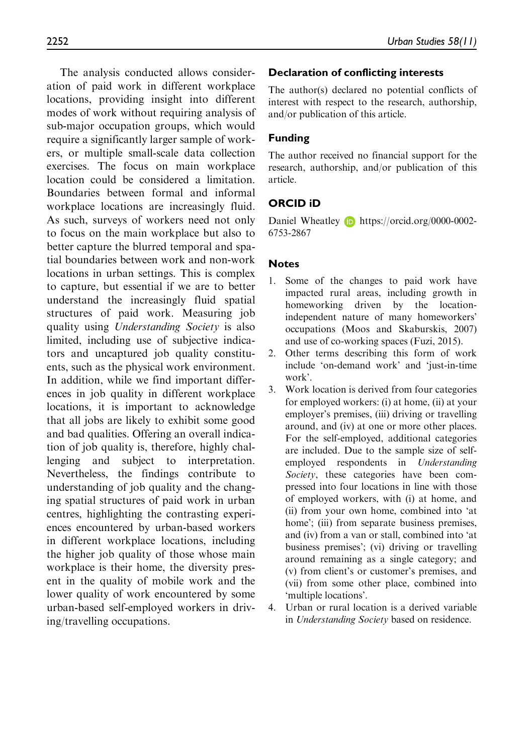The analysis conducted allows consideration of paid work in different workplace locations, providing insight into different modes of work without requiring analysis of sub-major occupation groups, which would require a significantly larger sample of workers, or multiple small-scale data collection exercises. The focus on main workplace location could be considered a limitation. Boundaries between formal and informal workplace locations are increasingly fluid. As such, surveys of workers need not only to focus on the main workplace but also to better capture the blurred temporal and spatial boundaries between work and non-work locations in urban settings. This is complex to capture, but essential if we are to better understand the increasingly fluid spatial structures of paid work. Measuring job quality using Understanding Society is also limited, including use of subjective indicators and uncaptured job quality constituents, such as the physical work environment. In addition, while we find important differences in job quality in different workplace locations, it is important to acknowledge that all jobs are likely to exhibit some good and bad qualities. Offering an overall indication of job quality is, therefore, highly challenging and subject to interpretation. Nevertheless, the findings contribute to understanding of job quality and the changing spatial structures of paid work in urban centres, highlighting the contrasting experiences encountered by urban-based workers in different workplace locations, including the higher job quality of those whose main workplace is their home, the diversity present in the quality of mobile work and the lower quality of work encountered by some urban-based self-employed workers in driving/travelling occupations.

#### Declaration of conflicting interests

The author(s) declared no potential conflicts of interest with respect to the research, authorship, and/or publication of this article.

#### Funding

The author received no financial support for the research, authorship, and/or publication of this article.

#### ORCID iD

Daniel Wheatley **b** [https://orcid.org/0000-0002-](https://orcid.org/0000-0002-6753-2867) [6753-2867](https://orcid.org/0000-0002-6753-2867)

#### **Notes**

- 1. Some of the changes to paid work have impacted rural areas, including growth in homeworking driven by the locationindependent nature of many homeworkers' occupations (Moos and Skaburskis, 2007) and use of co-working spaces (Fuzi, 2015).
- 2. Other terms describing this form of work include 'on-demand work' and 'just-in-time work'.
- 3. Work location is derived from four categories for employed workers: (i) at home, (ii) at your employer's premises, (iii) driving or travelling around, and (iv) at one or more other places. For the self-employed, additional categories are included. Due to the sample size of selfemployed respondents in Understanding Society, these categories have been compressed into four locations in line with those of employed workers, with (i) at home, and (ii) from your own home, combined into 'at home': (iii) from separate business premises. and (iv) from a van or stall, combined into 'at business premises'; (vi) driving or travelling around remaining as a single category; and (v) from client's or customer's premises, and (vii) from some other place, combined into 'multiple locations'.
- 4. Urban or rural location is a derived variable in Understanding Society based on residence.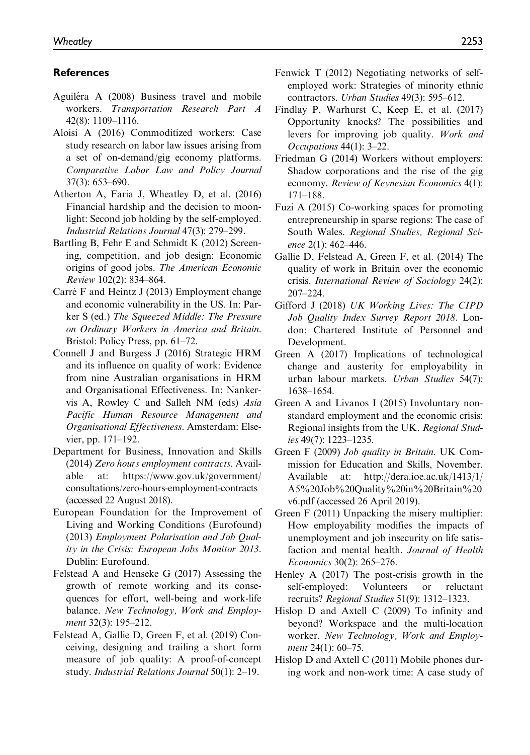#### **References**

- Aguiléra A (2008) Business travel and mobile workers. Transportation Research Part A 42(8): 1109–1116.
- Aloisi A (2016) Commoditized workers: Case study research on labor law issues arising from a set of on-demand/gig economy platforms. Comparative Labor Law and Policy Journal 37(3): 653–690.
- Atherton A, Faria J, Wheatley D, et al. (2016) Financial hardship and the decision to moonlight: Second job holding by the self-employed. Industrial Relations Journal 47(3): 279–299.
- Bartling B, Fehr E and Schmidt K (2012) Screening, competition, and job design: Economic origins of good jobs. The American Economic Review 102(2): 834–864.
- Carré F and Heintz J (2013) Employment change and economic vulnerability in the US. In: Parker S (ed.) The Squeezed Middle: The Pressure on Ordinary Workers in America and Britain. Bristol: Policy Press, pp. 61–72.
- Connell J and Burgess J (2016) Strategic HRM and its influence on quality of work: Evidence from nine Australian organisations in HRM and Organisational Effectiveness. In: Nankervis A, Rowley C and Salleh NM (eds) Asia Pacific Human Resource Management and Organisational Effectiveness. Amsterdam: Elsevier, pp. 171–192.
- Department for Business, Innovation and Skills (2014) Zero hours employment contracts. Available at: [https://www.gov.uk/government/](https://www.gov.uk/government/consultations/zero-hours-employment-contracts) [consultations/zero-hours-employment-contracts](https://www.gov.uk/government/consultations/zero-hours-employment-contracts) [\(accessed 22 August 2018\).](https://www.gov.uk/government/consultations/zero-hours-employment-contracts)
- European Foundation for the Improvement of Living and Working Conditions (Eurofound) (2013) Employment Polarisation and Job Quality in the Crisis: European Jobs Monitor 2013. Dublin: Eurofound.
- Felstead A and Henseke G (2017) Assessing the growth of remote working and its consequences for effort, well-being and work-life balance. New Technology, Work and Employment 32(3): 195–212.
- Felstead A, Gallie D, Green F, et al. (2019) Conceiving, designing and trailing a short form measure of job quality: A proof-of-concept study. Industrial Relations Journal 50(1): 2–19.
- Fenwick T (2012) Negotiating networks of selfemployed work: Strategies of minority ethnic contractors. Urban Studies 49(3): 595–612.
- Findlay P, Warhurst C, Keep E, et al. (2017) Opportunity knocks? The possibilities and levers for improving job quality. Work and Occupations 44(1): 3–22.
- Friedman G (2014) Workers without employers: Shadow corporations and the rise of the gig economy. Review of Keynesian Economics 4(1): 171–188.
- Fuzi A (2015) Co-working spaces for promoting entrepreneurship in sparse regions: The case of South Wales. Regional Studies, Regional Science 2(1): 462–446.
- Gallie D, Felstead A, Green F, et al. (2014) The quality of work in Britain over the economic crisis. International Review of Sociology 24(2): 207–224.
- Gifford J (2018) UK Working Lives: The CIPD Job Quality Index Survey Report 2018. London: Chartered Institute of Personnel and Development.
- Green A (2017) Implications of technological change and austerity for employability in urban labour markets. Urban Studies 54(7): 1638–1654.
- Green A and Livanos I (2015) Involuntary nonstandard employment and the economic crisis: Regional insights from the UK. Regional Studies 49(7): 1223–1235.
- Green F (2009) Job quality in Britain. UK Commission for Education and Skills, November. Available at: [http://dera.ioe.ac.uk/1413/1/](http://dera.ioe.ac.uk/1413/1/A5%20Job%20Quality%20in%20Britain%20v6.pdf) [A5%20Job%20Quality%20in%20Britain%20](http://dera.ioe.ac.uk/1413/1/A5%20Job%20Quality%20in%20Britain%20v6.pdf) [v6.pdf](http://dera.ioe.ac.uk/1413/1/A5%20Job%20Quality%20in%20Britain%20v6.pdf) (accessed 26 April 2019).
- Green F (2011) Unpacking the misery multiplier: How employability modifies the impacts of unemployment and job insecurity on life satisfaction and mental health. Journal of Health Economics 30(2): 265–276.
- Henley A (2017) The post-crisis growth in the self-employed: Volunteers or reluctant recruits? Regional Studies 51(9): 1312–1323.
- Hislop D and Axtell C (2009) To infinity and beyond? Workspace and the multi-location worker. New Technology, Work and Employment 24(1): 60-75.
- Hislop D and Axtell C (2011) Mobile phones during work and non-work time: A case study of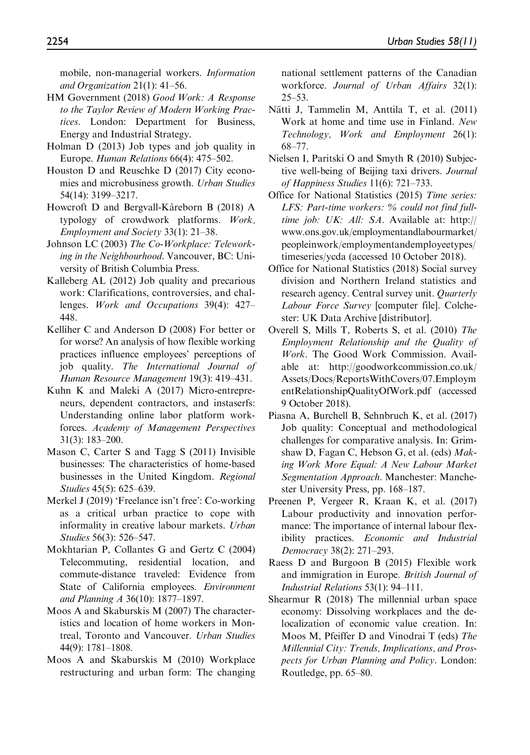mobile, non-managerial workers. Information and Organization 21(1): 41–56.

- HM Government (2018) Good Work: A Response to the Taylor Review of Modern Working Practices. London: Department for Business, Energy and Industrial Strategy.
- Holman D (2013) Job types and job quality in Europe. Human Relations 66(4): 475–502.
- Houston D and Reuschke D (2017) City economies and microbusiness growth. Urban Studies 54(14): 3199–3217.
- Howcroft D and Bergvall-Kåreborn B (2018) A typology of crowdwork platforms. Work, Employment and Society 33(1): 21–38.
- Johnson LC (2003) The Co-Workplace: Teleworking in the Neighbourhood. Vancouver, BC: University of British Columbia Press.
- Kalleberg AL (2012) Job quality and precarious work: Clarifications, controversies, and challenges. Work and Occupations 39(4): 427– 448.
- Kelliher C and Anderson D (2008) For better or for worse? An analysis of how flexible working practices influence employees' perceptions of job quality. The International Journal of Human Resource Management 19(3): 419–431.
- Kuhn K and Maleki A (2017) Micro-entrepreneurs, dependent contractors, and instaserfs: Understanding online labor platform workforces. Academy of Management Perspectives 31(3): 183–200.
- Mason C, Carter S and Tagg S (2011) Invisible businesses: The characteristics of home-based businesses in the United Kingdom. Regional Studies 45(5): 625–639.
- Merkel J (2019) 'Freelance isn't free': Co-working as a critical urban practice to cope with informality in creative labour markets. Urban Studies 56(3): 526–547.
- Mokhtarian P, Collantes G and Gertz C (2004) Telecommuting, residential location, and commute-distance traveled: Evidence from State of California employees. Environment and Planning A 36(10): 1877–1897.
- Moos A and Skaburskis M (2007) The characteristics and location of home workers in Montreal, Toronto and Vancouver. Urban Studies 44(9): 1781–1808.
- Moos A and Skaburskis M (2010) Workplace restructuring and urban form: The changing

national settlement patterns of the Canadian workforce. Journal of Urban Affairs 32(1): 25–53.

- Nätti J, Tammelin M, Anttila T, et al. (2011) Work at home and time use in Finland. New Technology, Work and Employment 26(1): 68–77.
- Nielsen I, Paritski O and Smyth R (2010) Subjective well-being of Beijing taxi drivers. Journal of Happiness Studies 11(6): 721–733.
- Office for National Statistics (2015) Time series: LFS: Part-time workers: % could not find fulltime job: UK: All: SA. Available at: [http://](http://www.ons.gov.uk/employmentandlabourmarket/peopleinwork/employmentandemployeetypes/timeseries/ycda) [www.ons.gov.uk/employmentandlabourmarket/](http://www.ons.gov.uk/employmentandlabourmarket/peopleinwork/employmentandemployeetypes/timeseries/ycda) [peopleinwork/employmentandemployeetypes/](http://www.ons.gov.uk/employmentandlabourmarket/peopleinwork/employmentandemployeetypes/timeseries/ycda) [timeseries/ycda](http://www.ons.gov.uk/employmentandlabourmarket/peopleinwork/employmentandemployeetypes/timeseries/ycda) (accessed 10 October 2018).
- Office for National Statistics (2018) Social survey division and Northern Ireland statistics and research agency. Central survey unit. Quarterly Labour Force Survey [computer file]. Colchester: UK Data Archive [distributor].
- Overell S, Mills T, Roberts S, et al. (2010) The Employment Relationship and the Quality of Work. The Good Work Commission. Available at: [http://goodworkcommission.co.uk/](http://goodworkcommission.co.uk/Assets/Docs/ReportsWithCovers/07.EmploymentRelationshipQualityOfWork.pdf) [Assets/Docs/ReportsWithCovers/07.Employm](http://goodworkcommission.co.uk/Assets/Docs/ReportsWithCovers/07.EmploymentRelationshipQualityOfWork.pdf) [entRelationshipQualityOfWork.pdf](http://goodworkcommission.co.uk/Assets/Docs/ReportsWithCovers/07.EmploymentRelationshipQualityOfWork.pdf) (accessed 9 October 2018).
- Piasna A, Burchell B, Sehnbruch K, et al. (2017) Job quality: Conceptual and methodological challenges for comparative analysis. In: Grimshaw D, Fagan C, Hebson G, et al. (eds) Making Work More Equal: A New Labour Market Segmentation Approach. Manchester: Manchester University Press, pp. 168–187.
- Preenen P, Vergeer R, Kraan K, et al. (2017) Labour productivity and innovation performance: The importance of internal labour flexibility practices. Economic and Industrial Democracy 38(2): 271–293.
- Raess D and Burgoon B (2015) Flexible work and immigration in Europe. British Journal of Industrial Relations 53(1): 94–111.
- Shearmur R (2018) The millennial urban space economy: Dissolving workplaces and the delocalization of economic value creation. In: Moos M, Pfeiffer D and Vinodrai T (eds) The Millennial City: Trends, Implications, and Prospects for Urban Planning and Policy. London: Routledge, pp. 65–80.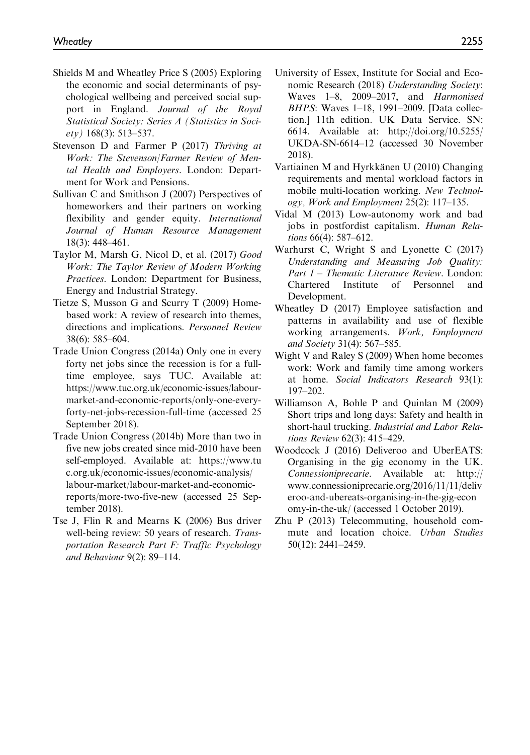- Shields M and Wheatley Price S (2005) Exploring the economic and social determinants of psychological wellbeing and perceived social support in England. Journal of the Royal Statistical Society: Series A (Statistics in Soci $etv$ ) 168(3): 513–537.
- Stevenson D and Farmer P (2017) Thriving at Work: The Stevenson/Farmer Review of Mental Health and Employers. London: Department for Work and Pensions.
- Sullivan C and Smithson J (2007) Perspectives of homeworkers and their partners on working flexibility and gender equity. International Journal of Human Resource Management 18(3): 448–461.
- Taylor M, Marsh G, Nicol D, et al. (2017) Good Work: The Taylor Review of Modern Working Practices. London: Department for Business, Energy and Industrial Strategy.
- Tietze S, Musson G and Scurry T (2009) Homebased work: A review of research into themes, directions and implications. Personnel Review 38(6): 585–604.
- Trade Union Congress (2014a) Only one in every forty net jobs since the recession is for a fulltime employee, says TUC. Available at: [https://www.tuc.org.uk/economic-issues/labour](https://www.tuc.org.uk/economic-issues/labour-market-and-economic-reports/only-one-every-forty-net-jobs-recession-full-time)[market-and-economic-reports/only-one-every](https://www.tuc.org.uk/economic-issues/labour-market-and-economic-reports/only-one-every-forty-net-jobs-recession-full-time)[forty-net-jobs-recession-full-time](https://www.tuc.org.uk/economic-issues/labour-market-and-economic-reports/only-one-every-forty-net-jobs-recession-full-time) (accessed 25 September 2018).
- Trade Union Congress (2014b) More than two in five new jobs created since mid-2010 have been self-employed. Available at: [https://www.tu](https://www.tuc.org.uk/economic-issues/economic-analysis/labour-market/labour-market-and-economic-reports/more-two-five-new) [c.org.uk/economic-issues/economic-analysis/](https://www.tuc.org.uk/economic-issues/economic-analysis/labour-market/labour-market-and-economic-reports/more-two-five-new) [labour-market/labour-market-and-economic](https://www.tuc.org.uk/economic-issues/economic-analysis/labour-market/labour-market-and-economic-reports/more-two-five-new)[reports/more-two-five-new](https://www.tuc.org.uk/economic-issues/economic-analysis/labour-market/labour-market-and-economic-reports/more-two-five-new) (accessed 25 September 2018).
- Tse J, Flin R and Mearns K (2006) Bus driver well-being review: 50 years of research. Transportation Research Part F: Traffic Psychology and Behaviour 9(2): 89–114.
- University of Essex, Institute for Social and Economic Research (2018) Understanding Society: Waves 1–8, 2009–2017, and Harmonised BHPS: Waves 1–18, 1991–2009. [Data collection.] 11th edition. UK Data Service. SN: 6614. Available at: [http://doi.org/10.5255/](http://doi.org/10.5255/UKDA-SN-661412) [UKDA-SN-6614–12](http://doi.org/10.5255/UKDA-SN-661412) (accessed 30 November 2018).
- Vartiainen M and Hyrkkänen U (2010) Changing requirements and mental workload factors in mobile multi-location working. New Technology, Work and Employment 25(2): 117–135.
- Vidal M (2013) Low-autonomy work and bad jobs in postfordist capitalism. Human Relations 66(4): 587–612.
- Warhurst C, Wright S and Lyonette C (2017) Understanding and Measuring Job Quality: Part 1 – Thematic Literature Review. London: Chartered Institute of Personnel and Development.
- Wheatley D (2017) Employee satisfaction and patterns in availability and use of flexible working arrangements. Work, Employment and Society 31(4): 567–585.
- Wight V and Raley S (2009) When home becomes work: Work and family time among workers at home. Social Indicators Research 93(1): 197–202.
- Williamson A, Bohle P and Quinlan M (2009) Short trips and long days: Safety and health in short-haul trucking. Industrial and Labor Relations Review 62(3): 415–429.
- Woodcock J (2016) Deliveroo and UberEATS: Organising in the gig economy in the UK. Connessioniprecarie. Available at: [http://](http://www.connessioniprecarie.org/2016/11/11/deliveroo-and-ubereats-organising-in-the-gig-economy-in-the-uk/) [www.connessioniprecarie.org/2016/11/11/deliv](http://www.connessioniprecarie.org/2016/11/11/deliveroo-and-ubereats-organising-in-the-gig-economy-in-the-uk/) [eroo-and-ubereats-organising-in-the-gig-econ](http://www.connessioniprecarie.org/2016/11/11/deliveroo-and-ubereats-organising-in-the-gig-economy-in-the-uk/) [omy-in-the-uk/](http://www.connessioniprecarie.org/2016/11/11/deliveroo-and-ubereats-organising-in-the-gig-economy-in-the-uk/) (accessed 1 October 2019).
- Zhu P (2013) Telecommuting, household commute and location choice. Urban Studies 50(12): 2441–2459.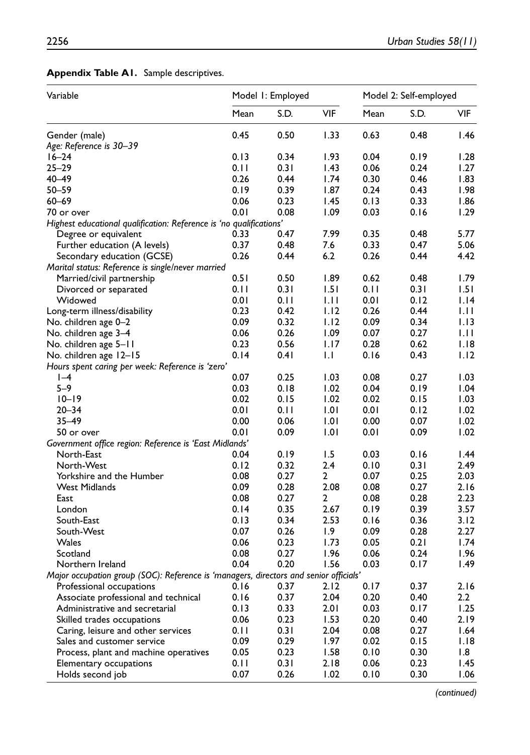| Variable                                                                              |      | Model 1: Employed |                |      | Model 2: Self-employed |            |
|---------------------------------------------------------------------------------------|------|-------------------|----------------|------|------------------------|------------|
|                                                                                       | Mean | S.D.              | <b>VIF</b>     | Mean | S.D.                   | <b>VIF</b> |
| Gender (male)                                                                         | 0.45 | 0.50              | 1.33           | 0.63 | 0.48                   | I.46       |
| Age: Reference is 30-39                                                               |      |                   |                |      |                        |            |
| $16 - 24$                                                                             | 0.13 | 0.34              | 1.93           | 0.04 | 0.19                   | 1.28       |
| $25 - 29$                                                                             | 0.11 | 0.31              | 1.43           | 0.06 | 0.24                   | 1.27       |
| $40 - 49$                                                                             | 0.26 | 0.44              | 1.74           | 0.30 | 0.46                   | 1.83       |
| $50 - 59$                                                                             | 0.19 | 0.39              | 1.87           | 0.24 | 0.43                   | 1.98       |
| $60 - 69$                                                                             | 0.06 | 0.23              | 1.45           | 0.13 | 0.33                   | 1.86       |
| 70 or over                                                                            | 0.01 | 0.08              | 1.09           | 0.03 | 0.16                   | 1.29       |
| Highest educational qualification: Reference is 'no qualifications'                   |      |                   |                |      |                        |            |
| Degree or equivalent                                                                  | 0.33 | 0.47              | 7.99           | 0.35 | 0.48                   | 5.77       |
| Further education (A levels)                                                          | 0.37 | 0.48              | 7.6            | 0.33 | 0.47                   | 5.06       |
| Secondary education (GCSE)                                                            | 0.26 | 0.44              | 6.2            | 0.26 | 0.44                   | 4.42       |
| Marital status: Reference is single/never married                                     |      |                   |                |      |                        |            |
| Married/civil partnership                                                             | 0.51 | 0.50              | 1.89           | 0.62 | 0.48                   | l.79       |
| Divorced or separated                                                                 | 0.11 | 0.31              | 1.51           | 0.11 | 0.31                   | 1.51       |
| Widowed                                                                               | 0.01 | 0.11              | 1.11           | 0.01 | 0.12                   | 1.14       |
| Long-term illness/disability                                                          | 0.23 | 0.42              | 1.12           | 0.26 | 0.44                   | 1.11       |
| No. children age 0-2                                                                  | 0.09 | 0.32              | 1.12           | 0.09 | 0.34                   | 1.13       |
| No. children age 3-4                                                                  | 0.06 | 0.26              | 1.09           | 0.07 | 0.27                   | 1.11       |
| No. children age 5-11                                                                 | 0.23 | 0.56              | 1.17           | 0.28 | 0.62                   | 1.18       |
| No. children age 12-15                                                                | 0.14 | 0.41              | $\mathsf{L}$   | 0.16 | 0.43                   | I.I2       |
| Hours spent caring per week: Reference is 'zero'                                      |      |                   |                |      |                        |            |
| $-4$                                                                                  | 0.07 | 0.25              | 1.03           | 0.08 | 0.27                   | 1.03       |
| $5 - 9$                                                                               | 0.03 | 0.18              | 1.02           | 0.04 | 0.19                   | 1.04       |
| $10 - 19$                                                                             | 0.02 | 0.15              | 1.02           | 0.02 | 0.15                   | 1.03       |
| $20 - 34$                                                                             | 0.01 | 0.11              | 1.01           | 0.01 | 0.12                   | 1.02       |
| $35 - 49$                                                                             | 0.00 | 0.06              | 1.01           | 0.00 | 0.07                   | 1.02       |
| 50 or over                                                                            | 0.01 | 0.09              | 1.01           | 0.01 | 0.09                   | 1.02       |
| Government office region: Reference is 'East Midlands'                                |      |                   |                |      |                        |            |
| North-East                                                                            | 0.04 | 0.19              | 1.5            | 0.03 | 0.16                   | I.44       |
| North-West                                                                            | 0.12 | 0.32              | 2.4            | 0.10 | 0.31                   | 2.49       |
| Yorkshire and the Humber                                                              | 0.08 | 0.27              | $\overline{2}$ | 0.07 | 0.25                   | 2.03       |
| West Midlands                                                                         | 0.09 | 0.28              | 2.08           | 0.08 | 0.27                   | 2.16       |
| East                                                                                  | 0.08 | 0.27              | 2              | 0.08 | 0.28                   | 2.23       |
| London                                                                                | 0.14 | 0.35              | 2.67           | 0.19 | 0.39                   | 3.57       |
| South-East                                                                            | 0.13 | 0.34              | 2.53           | 0.16 | 0.36                   | 3.12       |
| South-West                                                                            | 0.07 | 0.26              | 1.9            | 0.09 | 0.28                   | 2.27       |
| Wales                                                                                 | 0.06 | 0.23              | 1.73           | 0.05 | 0.21                   | 1.74       |
| Scotland                                                                              | 0.08 | 0.27              | 1.96           | 0.06 | 0.24                   | 1.96       |
| Northern Ireland                                                                      | 0.04 | 0.20              | 1.56           | 0.03 | 0.17                   | 1.49       |
| Major occupation group (SOC): Reference is 'managers, directors and senior officials' |      |                   |                |      |                        |            |
| Professional occupations                                                              | 0.16 | 0.37              | 2.12           | 0.17 | 0.37                   | 2.16       |
| Associate professional and technical                                                  | 0.16 | 0.37              | 2.04           | 0.20 | 0.40                   | 2.2        |
| Administrative and secretarial                                                        | 0.13 | 0.33              | 2.01           | 0.03 | 0.17                   | 1.25       |
| Skilled trades occupations                                                            | 0.06 | 0.23              | 1.53           | 0.20 | 0.40                   | 2.19       |
| Caring, leisure and other services                                                    | 0.11 | 0.31              | 2.04           | 0.08 | 0.27                   | 1.64       |
| Sales and customer service                                                            | 0.09 | 0.29              | 1.97           | 0.02 | 0.15                   | 1.18       |
| Process, plant and machine operatives                                                 | 0.05 | 0.23              | 1.58           | 0.10 | 0.30                   | 1.8        |
| Elementary occupations                                                                | 0.11 | 0.31              | 2.18           | 0.06 | 0.23                   | 1.45       |
| Holds second job                                                                      | 0.07 | 0.26              | 1.02           | 0.10 | 0.30                   | 1.06       |

#### Appendix Table A1. Sample descriptives.

(continued)